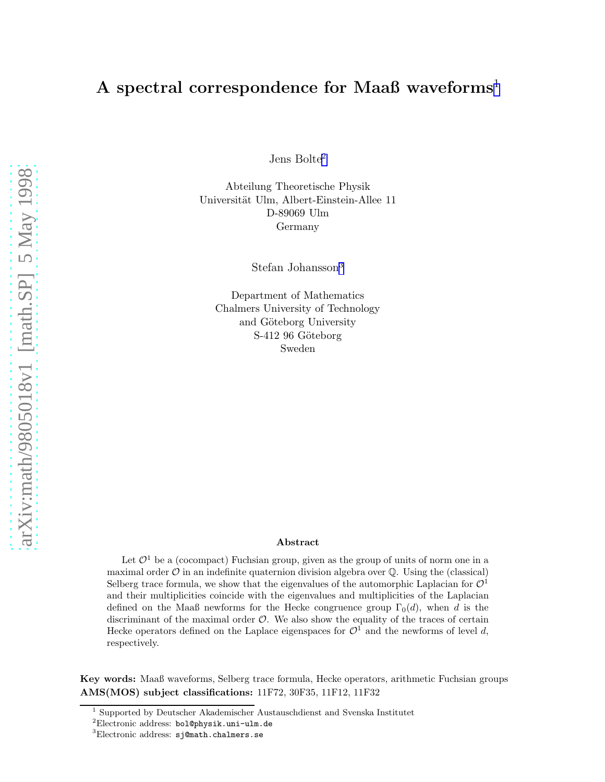# A spectral correspondence for Maaß waveforms<sup>1</sup>

Jens $\mathrm{Bolte}^2$ 

Abteilung Theoretische Physik Universität Ulm, Albert-Einstein-Allee 11 D-89069 Ulm Germany

Stefan Johansson<sup>3</sup>

Department of Mathematics Chalmers University of Technology and Göteborg University S-412 96 Göteborg Sweden

#### Abstract

Let  $\mathcal{O}^1$  be a (cocompact) Fuchsian group, given as the group of units of norm one in a maximal order  $\mathcal O$  in an indefinite quaternion division algebra over  $\mathbb Q$ . Using the (classical) Selberg trace formula, we show that the eigenvalues of the automorphic Laplacian for  $\mathcal{O}^1$ and their multiplicities coincide with the eigenvalues and multiplicities of the Laplacian defined on the Maaß newforms for the Hecke congruence group  $\Gamma_0(d)$ , when d is the discriminant of the maximal order  $O$ . We also show the equality of the traces of certain Hecke operators defined on the Laplace eigenspaces for  $\mathcal{O}^1$  and the newforms of level d, respectively.

Key words: Maaß waveforms, Selberg trace formula, Hecke operators, arithmetic Fuchsian groups AMS(MOS) subject classifications: 11F72, 30F35, 11F12, 11F32

<sup>1</sup> Supported by Deutscher Akademischer Austauschdienst and Svenska Institutet

<sup>2</sup>Electronic address: bol@physik.uni-ulm.de

<sup>3</sup>Electronic address: sj@math.chalmers.se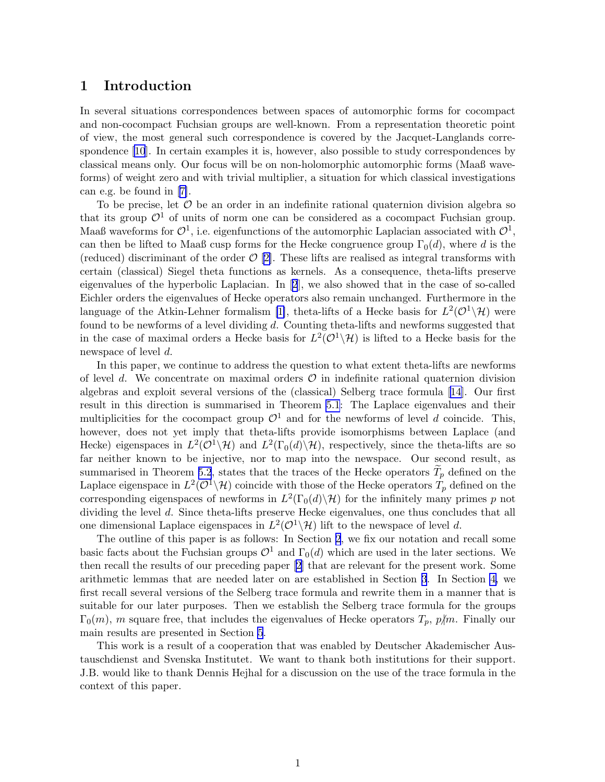# 1 Introduction

In several situations correspondences between spaces of automorphic forms for cocompact and non-cocompact Fuchsian groups are well-known. From a representation theoretic point of view, the most general such correspondence is covered by the Jacquet-Langlands correspondence [\[10](#page-22-0)]. In certain examples it is, however, also possible to study correspondences by classical means only. Our focus will be on non-holomorphic automorphic forms (Maaß waveforms) of weight zero and with trivial multiplier, a situation for which classical investigations can e.g. be found in [\[7\]](#page-21-0).

To be precise, let  $\mathcal O$  be an order in an indefinite rational quaternion division algebra so that its group  $\mathcal{O}^1$  of units of norm one can be considered as a cocompact Fuchsian group. Maaß waveforms for  $\mathcal{O}^1$ , i.e. eigenfunctions of the automorphic Laplacian associated with  $\mathcal{O}^1$ , can then be lifted to Maaß cusp forms for the Hecke congruence group  $\Gamma_0(d)$ , where d is the (reduced) discriminant of the order  $\mathcal{O}[2]$  $\mathcal{O}[2]$ . These lifts are realised as integral transforms with certain (classical) Siegel theta functions as kernels. As a consequence, theta-lifts preserve eigenvalues of the hyperbolic Laplacian. In [\[2](#page-21-0)], we also showed that in the case of so-called Eichler orders the eigenvalues of Hecke operators also remain unchanged. Furthermore in the language of the Atkin-Lehner formalism [\[1\]](#page-21-0), theta-lifts of a Hecke basis for  $L^2(\mathcal{O}^1\setminus\mathcal{H})$  were found to be newforms of a level dividing d. Counting theta-lifts and newforms suggested that in the case of maximal orders a Hecke basis for  $L^2(\mathcal{O}^1\setminus\mathcal{H})$  is lifted to a Hecke basis for the newspace of level d.

In this paper, we continue to address the question to what extent theta-lifts are newforms of level d. We concentrate on maximal orders  $\mathcal O$  in indefinite rational quaternion division algebras and exploit several versions of the (classical) Selberg trace formula [\[14](#page-22-0)]. Our first result in this direction is summarised in Theorem [5.1](#page-19-0): The Laplace eigenvalues and their multiplicities for the cocompact group  $\mathcal{O}^1$  and for the newforms of level d coincide. This, however, does not yet imply that theta-lifts provide isomorphisms between Laplace (and Hecke) eigenspaces in  $L^2(\mathcal{O}^1\setminus\mathcal{H})$  and  $L^2(\Gamma_0(d)\setminus\mathcal{H})$ , respectively, since the theta-lifts are so far neither known to be injective, nor to map into the newspace. Our second result, as summarised in Theorem [5.2](#page-20-0), states that the traces of the Hecke operators  $T_p$  defined on the Laplace eigenspace in  $L^2(\mathcal{O}^1\setminus\mathcal{H})$  coincide with those of the Hecke operators  $T_p$  defined on the corresponding eigenspaces of newforms in  $L^2(\Gamma_0(d)\backslash\mathcal{H})$  for the infinitely many primes p not dividing the level d. Since theta-lifts preserve Hecke eigenvalues, one thus concludes that all one dimensional Laplace eigenspaces in  $L^2(\mathcal{O}^1\backslash\mathcal{H})$  lift to the newspace of level d.

The outline of this paper is as follows: In Section 2, we fix our notation and recall some basic facts about the Fuchsian groups  $\mathcal{O}^1$  and  $\Gamma_0(d)$  which are used in the later sections. We then recall the results of our preceding paper[[2](#page-21-0)] that are relevant for the present work. Some arithmetic lemmas that are needed later on are established in Section [3](#page-5-0). In Section [4,](#page-9-0) we first recall several versions of the Selberg trace formula and rewrite them in a manner that is suitable for our later purposes. Then we establish the Selberg trace formula for the groups  $\Gamma_0(m)$ , m square free, that includes the eigenvalues of Hecke operators  $T_p$ ,  $p/m$ . Finally our main results are presented in Section [5](#page-19-0).

This work is a result of a cooperation that was enabled by Deutscher Akademischer Austauschdienst and Svenska Institutet. We want to thank both institutions for their support. J.B. would like to thank Dennis Hejhal for a discussion on the use of the trace formula in the context of this paper.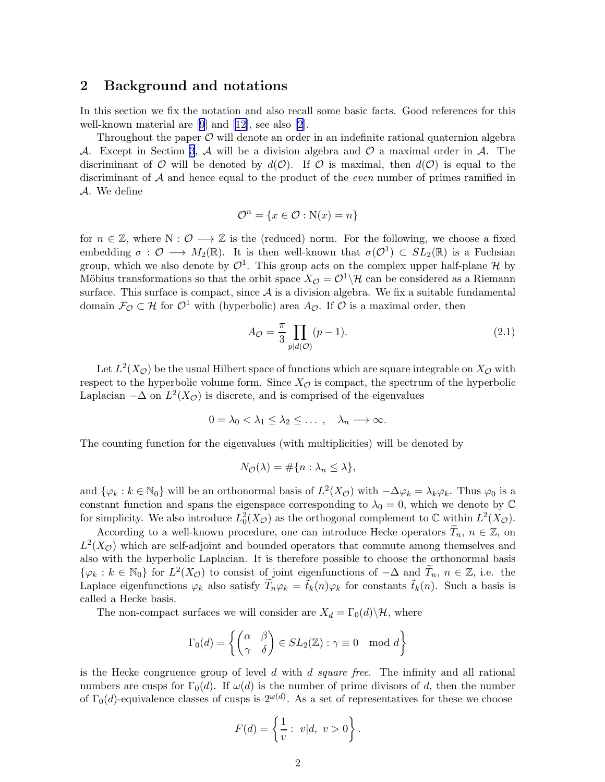### <span id="page-2-0"></span>2 Background and notations

In this section we fix the notation and also recall some basic facts. Good references for this well-known material are[[9](#page-22-0)] and [\[12](#page-22-0)], see also [\[2\]](#page-21-0).

Throughout the paper  $\mathcal O$  will denote an order in an indefinite rational quaternion algebra A. Except in Section [3](#page-5-0), A will be a division algebra and  $\mathcal O$  a maximal order in A. The discriminant of O will be denoted by  $d(\mathcal{O})$ . If O is maximal, then  $d(\mathcal{O})$  is equal to the discriminant of  $A$  and hence equal to the product of the *even* number of primes ramified in A. We define

$$
\mathcal{O}^n = \{x \in \mathcal{O} : \mathcal{N}(x) = n\}
$$

for  $n \in \mathbb{Z}$ , where  $N : \mathcal{O} \longrightarrow \mathbb{Z}$  is the (reduced) norm. For the following, we choose a fixed embedding  $\sigma : \mathcal{O} \longrightarrow M_2(\mathbb{R})$ . It is then well-known that  $\sigma(\mathcal{O}^1) \subset SL_2(\mathbb{R})$  is a Fuchsian group, which we also denote by  $\mathcal{O}^1$ . This group acts on the complex upper half-plane  $\mathcal H$  by Möbius transformations so that the orbit space  $X_{\mathcal{O}} = \mathcal{O}^1 \backslash \mathcal{H}$  can be considered as a Riemann surface. This surface is compact, since  $A$  is a division algebra. We fix a suitable fundamental domain  $\mathcal{F}_{\mathcal{O}} \subset \mathcal{H}$  for  $\mathcal{O}^1$  with (hyperbolic) area  $A_{\mathcal{O}}$ . If  $\mathcal{O}$  is a maximal order, then

$$
A_{\mathcal{O}} = \frac{\pi}{3} \prod_{p|d(\mathcal{O})} (p-1). \tag{2.1}
$$

Let  $L^2(X_{\mathcal{O}})$  be the usual Hilbert space of functions which are square integrable on  $X_{\mathcal{O}}$  with respect to the hyperbolic volume form. Since  $X_{\mathcal{O}}$  is compact, the spectrum of the hyperbolic Laplacian  $-\Delta$  on  $L^2(X_{\mathcal{O}})$  is discrete, and is comprised of the eigenvalues

$$
0 = \lambda_0 < \lambda_1 \leq \lambda_2 \leq \ldots \;, \quad \lambda_n \longrightarrow \infty.
$$

The counting function for the eigenvalues (with multiplicities) will be denoted by

$$
N_{\mathcal{O}}(\lambda) = \#\{n : \lambda_n \le \lambda\},\
$$

and  $\{\varphi_k : k \in \mathbb{N}_0\}$  will be an orthonormal basis of  $L^2(X_{\mathcal{O}})$  with  $-\Delta \varphi_k = \lambda_k \varphi_k$ . Thus  $\varphi_0$  is a constant function and spans the eigenspace corresponding to  $\lambda_0 = 0$ , which we denote by  $\mathbb C$ for simplicity. We also introduce  $L_0^2(X_{\mathcal{O}})$  as the orthogonal complement to  $\mathbb C$  within  $L^2(X_{\mathcal{O}})$ .

According to a well-known procedure, one can introduce Hecke operators  $\tilde{T}_n$ ,  $n \in \mathbb{Z}$ , on  $L^2(X_{\mathcal{O}})$  which are self-adjoint and bounded operators that commute among themselves and also with the hyperbolic Laplacian. It is therefore possible to choose the orthonormal basis  $\{\varphi_k : k \in \mathbb{N}_0\}$  for  $L^2(X_{\mathcal{O}})$  to consist of joint eigenfunctions of  $-\Delta$  and  $\widetilde{T}_n$ ,  $n \in \mathbb{Z}$ , i.e. the Laplace eigenfunctions  $\varphi_k$  also satisfy  $\widetilde{T}_n\varphi_k = \widetilde{t}_k(n)\varphi_k$  for constants  $\widetilde{t}_k(n)$ . Such a basis is called a Hecke basis.

The non-compact surfaces we will consider are  $X_d = \Gamma_0(d) \backslash \mathcal{H}$ , where

$$
\Gamma_0(d) = \left\{ \begin{pmatrix} \alpha & \beta \\ \gamma & \delta \end{pmatrix} \in SL_2(\mathbb{Z}) : \gamma \equiv 0 \mod d \right\}
$$

is the Hecke congruence group of level  $d$  with  $d$  square free. The infinity and all rational numbers are cusps for  $\Gamma_0(d)$ . If  $\omega(d)$  is the number of prime divisors of d, then the number of  $\Gamma_0(d)$ -equivalence classes of cusps is  $2^{\omega(d)}$ . As a set of representatives for these we choose

$$
F(d) = \left\{ \frac{1}{v} : v | d, v > 0 \right\}.
$$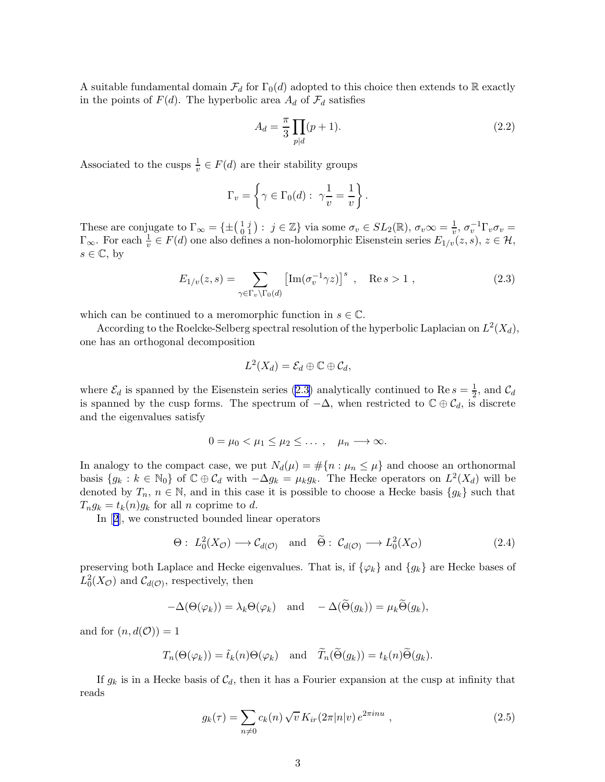<span id="page-3-0"></span>A suitable fundamental domain  $\mathcal{F}_d$  for  $\Gamma_0(d)$  adopted to this choice then extends to R exactly in the points of  $F(d)$ . The hyperbolic area  $A_d$  of  $\mathcal{F}_d$  satisfies

$$
A_d = \frac{\pi}{3} \prod_{p|d} (p+1).
$$
 (2.2)

Associated to the cusps  $\frac{1}{v} \in F(d)$  are their stability groups

$$
\Gamma_v = \left\{ \gamma \in \Gamma_0(d): \ \gamma \frac{1}{v} = \frac{1}{v} \right\}.
$$

These are conjugate to  $\Gamma_{\infty} = \{ \pm \begin{pmatrix} 1 & j \\ 0 & 1 \end{pmatrix}$  $\begin{array}{c} 1 \ i \ 0 \ 1 \end{array}$ :  $j \in \mathbb{Z}$  via some  $\sigma_v \in SL_2(\mathbb{R}), \sigma_v \infty = \frac{1}{v}$  $\frac{1}{v}, \sigma_v^{-1} \Gamma_v \sigma_v =$  $\Gamma_{\infty}$ . For each  $\frac{1}{v} \in F(d)$  one also defines a non-holomorphic Eisenstein series  $E_{1/v}(z, s)$ ,  $z \in \mathcal{H}$ ,  $s \in \mathbb{C}$ , by

$$
E_{1/v}(z,s) = \sum_{\gamma \in \Gamma_v \backslash \Gamma_0(d)} \left[ \text{Im}(\sigma_v^{-1} \gamma z) \right]^s , \quad \text{Re } s > 1 , \tag{2.3}
$$

which can be continued to a meromorphic function in  $s \in \mathbb{C}$ .

According to the Roelcke-Selberg spectral resolution of the hyperbolic Laplacian on  $L^2(X_d)$ , one has an orthogonal decomposition

$$
L^2(X_d) = \mathcal{E}_d \oplus \mathbb{C} \oplus \mathcal{C}_d,
$$

where  $\mathcal{E}_d$  is spanned by the Eisenstein series (2.3) analytically continued to Re  $s = \frac{1}{2}$  $\frac{1}{2}$ , and  $\mathcal{C}_d$ is spanned by the cusp forms. The spectrum of  $-\Delta$ , when restricted to  $\mathbb{C} \oplus \mathcal{C}_d$ , is discrete and the eigenvalues satisfy

$$
0 = \mu_0 < \mu_1 \leq \mu_2 \leq \ldots \;, \quad \mu_n \longrightarrow \infty.
$$

In analogy to the compact case, we put  $N_d(\mu) = \#\{n : \mu_n \leq \mu\}$  and choose an orthonormal basis  $\{g_k : k \in \mathbb{N}_0\}$  of  $\mathbb{C} \oplus \mathcal{C}_d$  with  $-\Delta g_k = \mu_k g_k$ . The Hecke operators on  $L^2(X_d)$  will be denoted by  $T_n$ ,  $n \in \mathbb{N}$ , and in this case it is possible to choose a Hecke basis  $\{g_k\}$  such that  $T_n g_k = t_k(n) g_k$  for all n coprime to d.

In[[2](#page-21-0)], we constructed bounded linear operators

$$
\Theta: L_0^2(X_{\mathcal{O}}) \longrightarrow \mathcal{C}_{d(\mathcal{O})} \quad \text{and} \quad \widetilde{\Theta}: \mathcal{C}_{d(\mathcal{O})} \longrightarrow L_0^2(X_{\mathcal{O}}) \tag{2.4}
$$

preserving both Laplace and Hecke eigenvalues. That is, if  $\{\varphi_k\}$  and  $\{g_k\}$  are Hecke bases of  $L_0^2(X_{\mathcal{O}})$  and  $\mathcal{C}_{d(\mathcal{O})}$ , respectively, then

$$
-\Delta(\Theta(\varphi_k)) = \lambda_k \Theta(\varphi_k) \quad \text{and} \quad -\Delta(\widetilde{\Theta}(g_k)) = \mu_k \widetilde{\Theta}(g_k),
$$

and for  $(n, d(\mathcal{O})) = 1$ 

$$
T_n(\Theta(\varphi_k)) = \tilde{t}_k(n)\Theta(\varphi_k)
$$
 and  $\tilde{T}_n(\tilde{\Theta}(g_k)) = t_k(n)\tilde{\Theta}(g_k).$ 

If  $g_k$  is in a Hecke basis of  $\mathcal{C}_d$ , then it has a Fourier expansion at the cusp at infinity that reads

$$
g_k(\tau) = \sum_{n \neq 0} c_k(n) \sqrt{v} K_{ir}(2\pi |n|v) e^{2\pi i n u} , \qquad (2.5)
$$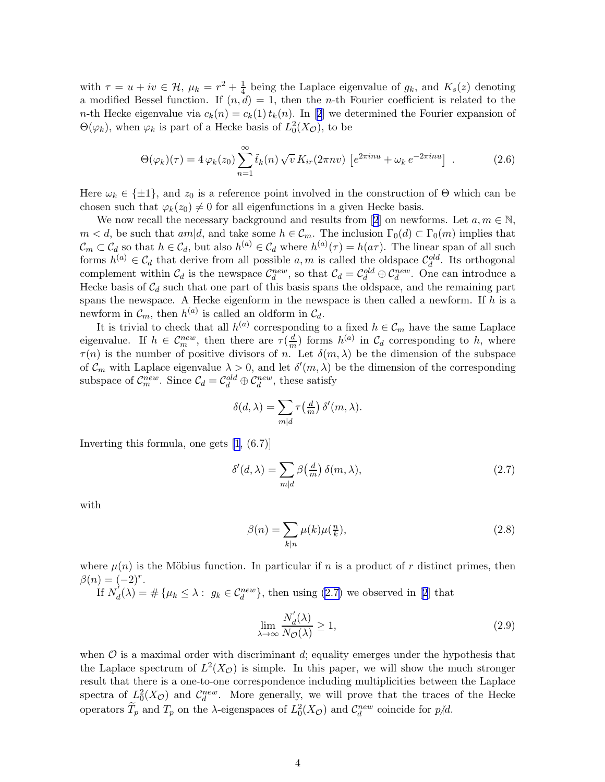<span id="page-4-0"></span>with  $\tau = u + iv \in \mathcal{H}$ ,  $\mu_k = r^2 + \frac{1}{4}$  $\frac{1}{4}$  being the Laplace eigenvalue of  $g_k$ , and  $K_s(z)$  denoting a modified Bessel function. If  $(n, d) = 1$ , then the *n*-th Fourier coefficient is related to the *n*-thHecke eigenvalue via  $c_k(n) = c_k(1) t_k(n)$ . In [[2](#page-21-0)] we determined the Fourier expansion of  $\Theta(\varphi_k)$ , when  $\varphi_k$  is part of a Hecke basis of  $L_0^2(X_{\mathcal{O}})$ , to be

$$
\Theta(\varphi_k)(\tau) = 4\varphi_k(z_0) \sum_{n=1}^{\infty} \tilde{t}_k(n) \sqrt{v} K_{ir}(2\pi nv) \left[ e^{2\pi i n u} + \omega_k e^{-2\pi i n u} \right]. \tag{2.6}
$$

Here  $\omega_k \in \{\pm 1\}$ , and  $z_0$  is a reference point involved in the construction of  $\Theta$  which can be chosen such that  $\varphi_k(z_0) \neq 0$  for all eigenfunctions in a given Hecke basis.

We now recall the necessary background and results from [\[2](#page-21-0)] on newforms. Let  $a, m \in \mathbb{N}$ ,  $m < d$ , be such that  $am|d$ , and take some  $h \in \mathcal{C}_m$ . The inclusion  $\Gamma_0(d) \subset \Gamma_0(m)$  implies that  $\mathcal{C}_m \subset \mathcal{C}_d$  so that  $h \in \mathcal{C}_d$ , but also  $h^{(a)} \in \mathcal{C}_d$  where  $h^{(a)}(\tau) = h(a\tau)$ . The linear span of all such forms  $h^{(a)} \in \mathcal{C}_d$  that derive from all possible  $a, m$  is called the oldspace  $\mathcal{C}_d^{old}$ . Its orthogonal complement within  $C_d$  is the newspace  $C_d^{new}$ , so that  $C_d = C_d^{old} \oplus C_d^{new}$ . One can introduce a Hecke basis of  $C_d$  such that one part of this basis spans the oldspace, and the remaining part spans the newspace. A Hecke eigenform in the newspace is then called a newform. If  $h$  is a newform in  $\mathcal{C}_m$ , then  $h^{(a)}$  is called an oldform in  $\mathcal{C}_d$ .

It is trivial to check that all  $h^{(a)}$  corresponding to a fixed  $h \in \mathcal{C}_m$  have the same Laplace eigenvalue. If  $h \in \mathcal{C}_m^{new}$ , then there are  $\tau(\frac{d}{m})$  $\frac{d}{m}$ ) forms  $h^{(a)}$  in  $\mathcal{C}_d$  corresponding to h, where  $\tau(n)$  is the number of positive divisors of n. Let  $\delta(m,\lambda)$  be the dimension of the subspace of  $\mathcal{C}_m$  with Laplace eigenvalue  $\lambda > 0$ , and let  $\delta'(m, \lambda)$  be the dimension of the corresponding subspace of  $\mathcal{C}_m^{new}$ . Since  $\mathcal{C}_d = \mathcal{C}_d^{old} \oplus \mathcal{C}_d^{new}$ , these satisfy

$$
\delta(d,\lambda) = \sum_{m|d} \tau\left(\frac{d}{m}\right) \delta'(m,\lambda).
$$

Inverting this formula, one gets [\[1,](#page-21-0) (6.7)]

$$
\delta'(d,\lambda) = \sum_{m|d} \beta\left(\frac{d}{m}\right) \delta(m,\lambda),\tag{2.7}
$$

with

$$
\beta(n) = \sum_{k|n} \mu(k)\mu(\frac{n}{k}),\tag{2.8}
$$

where  $\mu(n)$  is the Möbius function. In particular if n is a product of r distinct primes, then  $\beta(n) = (-2)^r$ .

If  $N_a^{\prime}$  $d'_{d}(\lambda) = \#\{\mu_k \leq \lambda : g_k \in C_d^{new}\},\$  $d'_{d}(\lambda) = \#\{\mu_k \leq \lambda : g_k \in C_d^{new}\},\$  $d'_{d}(\lambda) = \#\{\mu_k \leq \lambda : g_k \in C_d^{new}\},\$  then using ([2](#page-21-0).7) we observed in [2] that

$$
\lim_{\lambda \to \infty} \frac{N_d'(\lambda)}{N_{\mathcal{O}}(\lambda)} \ge 1,
$$
\n(2.9)

when  $\mathcal O$  is a maximal order with discriminant d; equality emerges under the hypothesis that the Laplace spectrum of  $L^2(X_{\mathcal{O}})$  is simple. In this paper, we will show the much stronger result that there is a one-to-one correspondence including multiplicities between the Laplace spectra of  $L_0^2(X_{\mathcal{O}})$  and  $\mathcal{C}_d^{new}$ . More generally, we will prove that the traces of the Hecke operators  $\widetilde{T}_p$  and  $T_p$  on the  $\lambda$ -eigenspaces of  $L_0^2(X_{\mathcal{O}})$  and  $\mathcal{C}_d^{new}$  coincide for  $p\not|d$ .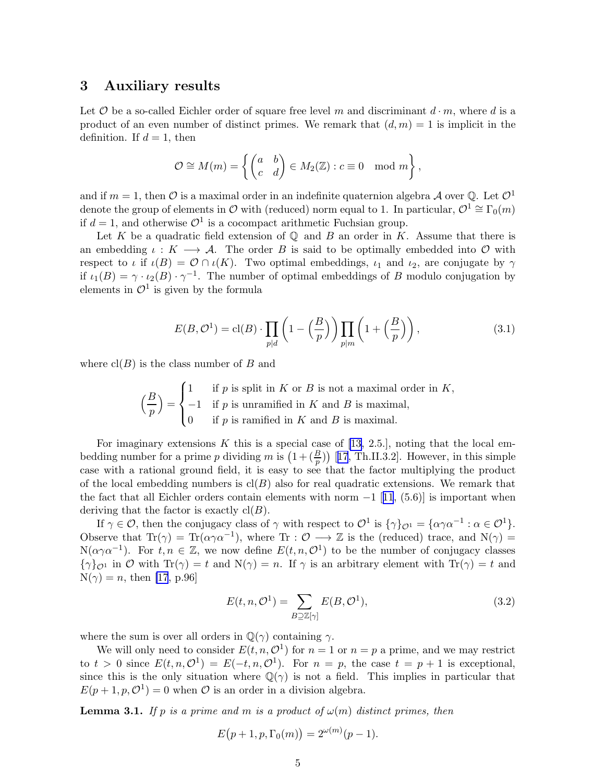#### <span id="page-5-0"></span>3 Auxiliary results

Let  $\mathcal O$  be a so-called Eichler order of square free level m and discriminant  $d \cdot m$ , where d is a product of an even number of distinct primes. We remark that  $(d, m) = 1$  is implicit in the definition. If  $d = 1$ , then

$$
\mathcal{O} \cong M(m) = \left\{ \begin{pmatrix} a & b \\ c & d \end{pmatrix} \in M_2(\mathbb{Z}) : c \equiv 0 \mod m \right\},\
$$

and if  $m = 1$ , then  $\mathcal O$  is a maximal order in an indefinite quaternion algebra  $\mathcal A$  over  $\mathbb Q$ . Let  $\mathcal O^1$ denote the group of elements in  $\mathcal O$  with (reduced) norm equal to 1. In particular,  $\mathcal O^1 \cong \Gamma_0(m)$ if  $d = 1$ , and otherwise  $\mathcal{O}^1$  is a cocompact arithmetic Fuchsian group.

Let K be a quadratic field extension of  $\mathbb Q$  and B an order in K. Assume that there is an embedding  $\iota: K \longrightarrow \mathcal{A}$ . The order B is said to be optimally embedded into O with respect to  $\iota$  if  $\iota(B) = \mathcal{O} \cap \iota(K)$ . Two optimal embeddings,  $\iota_1$  and  $\iota_2$ , are conjugate by  $\gamma$ if  $\iota_1(B) = \gamma \cdot \iota_2(B) \cdot \gamma^{-1}$ . The number of optimal embeddings of B modulo conjugation by elements in  $\mathcal{O}^1$  is given by the formula

$$
E(B, \mathcal{O}^1) = \text{cl}(B) \cdot \prod_{p|d} \left( 1 - \left(\frac{B}{p}\right) \right) \prod_{p|m} \left( 1 + \left(\frac{B}{p}\right) \right),\tag{3.1}
$$

where  $cl(B)$  is the class number of B and

$$
\left(\frac{B}{p}\right) = \begin{cases} 1 & \text{if } p \text{ is split in } K \text{ or } B \text{ is not a maximal order in } K, \\ -1 & \text{if } p \text{ is unramified in } K \text{ and } B \text{ is maximal,} \\ 0 & \text{if } p \text{ is ramified in } K \text{ and } B \text{ is maximal.} \end{cases}
$$

Forimaginary extensions K this is a special case of [[13,](#page-22-0) 2.5.], noting that the local embedding number for a prime p dividing m is  $(1+(\frac{B}{p}))$  [[17](#page-22-0), Th.II.3.2]. However, in this simple case with a rational ground field, it is easy to see that the factor multiplying the product of the local embedding numbers is  $cl(B)$  also for real quadratic extensions. We remark that thefact that all Eichler orders contain elements with norm  $-1$  [[11](#page-22-0), (5.6)] is important when deriving that the factor is exactly  $\text{cl}(B)$ .

If  $\gamma \in \mathcal{O}$ , then the conjugacy class of  $\gamma$  with respect to  $\mathcal{O}^1$  is  $\{\gamma\}_{\mathcal{O}^1} = \{\alpha\gamma\alpha^{-1} : \alpha \in \mathcal{O}^1\}.$ Observe that  $Tr(\gamma) = Tr(\alpha \gamma \alpha^{-1})$ , where  $Tr : \mathcal{O} \longrightarrow \mathbb{Z}$  is the (reduced) trace, and  $N(\gamma) =$  $N(\alpha \gamma \alpha^{-1})$ . For  $t, n \in \mathbb{Z}$ , we now define  $E(t, n, \mathcal{O}^1)$  to be the number of conjugacy classes  ${\gamma}_{\mathcal{O}^1}$  in O with  $\text{Tr}(\gamma) = t$  and  $\text{N}(\gamma) = n$ . If  $\gamma$  is an arbitrary element with  $\text{Tr}(\gamma) = t$  and  $N(\gamma) = n$ , then [\[17](#page-22-0), p.96]

$$
E(t, n, \mathcal{O}^1) = \sum_{B \supseteq \mathbb{Z}[\gamma]} E(B, \mathcal{O}^1), \tag{3.2}
$$

where the sum is over all orders in  $\mathbb{Q}(\gamma)$  containing  $\gamma$ .

We will only need to consider  $E(t, n, \mathcal{O}^1)$  for  $n = 1$  or  $n = p$  a prime, and we may restrict to  $t > 0$  since  $E(t, n, \mathcal{O}^1) = E(-t, n, \mathcal{O}^1)$ . For  $n = p$ , the case  $t = p + 1$  is exceptional, since this is the only situation where  $\mathbb{Q}(\gamma)$  is not a field. This implies in particular that  $E(p+1, p, \mathcal{O}^1) = 0$  when  $\mathcal O$  is an order in a division algebra.

**Lemma 3.1.** If p is a prime and m is a product of  $\omega(m)$  distinct primes, then

$$
E(p + 1, p, \Gamma_0(m)) = 2^{\omega(m)}(p - 1).
$$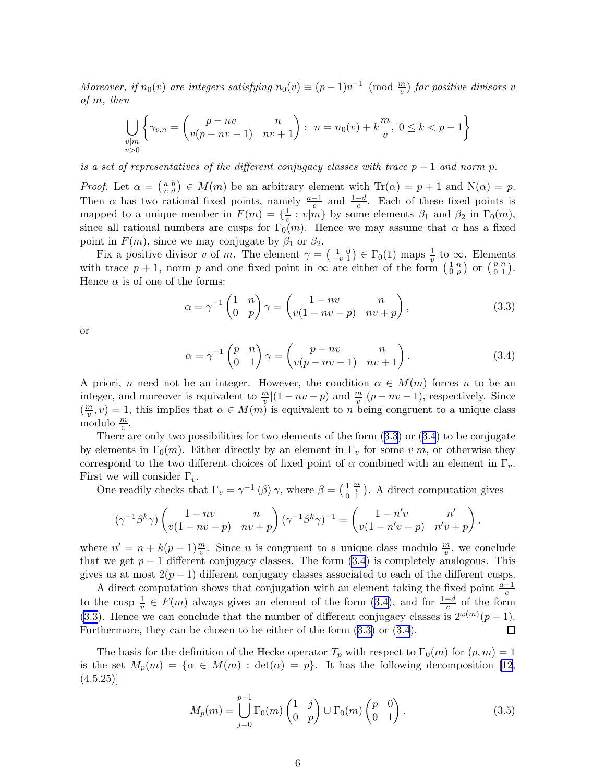<span id="page-6-0"></span>Moreover, if  $n_0(v)$  are integers satisfying  $n_0(v) \equiv (p-1)v^{-1} \pmod{\frac{m}{v}}$  for positive divisors v of m, then

$$
\bigcup_{\substack{v|m\\v>0}}\left\{\gamma_{v,n}=\begin{pmatrix}p-nv&n\\v(p-nv-1)&nv+1\end{pmatrix}: n=n_0(v)+k\frac{m}{v}, 0\leq k
$$

is a set of representatives of the different conjugacy classes with trace  $p + 1$  and norm p.

*Proof.* Let  $\alpha = \begin{pmatrix} a & b \\ c & d \end{pmatrix} \in M(m)$  be an arbitrary element with  $\text{Tr}(\alpha) = p + 1$  and  $\text{N}(\alpha) = p$ . Then  $\alpha$  has two rational fixed points, namely  $\frac{a-1}{c}$  and  $\frac{1-d}{c}$ . Each of these fixed points is mapped to a unique member in  $F(m) = \{\frac{1}{v}\}$  $\frac{1}{v}: v|m$  by some elements  $\beta_1$  and  $\beta_2$  in  $\Gamma_0(m)$ , since all rational numbers are cusps for  $\Gamma_0(m)$ . Hence we may assume that  $\alpha$  has a fixed point in  $F(m)$ , since we may conjugate by  $\beta_1$  or  $\beta_2$ .

Fix a positive divisor v of m. The element  $\gamma = \begin{pmatrix} 1 & 0 \\ -v & 1 \end{pmatrix} \in \Gamma_0(1)$  maps  $\frac{1}{v}$  to  $\infty$ . Elements with trace  $p + 1$ , norm p and one fixed point in  $\infty$  are either of the form  $\begin{pmatrix} 1 & n \\ 0 & p \end{pmatrix}$  or  $\begin{pmatrix} p & n \\ 0 & 1 \end{pmatrix}$ . Hence  $\alpha$  is of one of the forms:

$$
\alpha = \gamma^{-1} \begin{pmatrix} 1 & n \\ 0 & p \end{pmatrix} \gamma = \begin{pmatrix} 1 - nv & n \\ v(1 - nv - p) & nv + p \end{pmatrix},
$$
(3.3)

or

$$
\alpha = \gamma^{-1} \begin{pmatrix} p & n \\ 0 & 1 \end{pmatrix} \gamma = \begin{pmatrix} p - nv & n \\ v(p - nv - 1) & nv + 1 \end{pmatrix}.
$$
 (3.4)

A priori, n need not be an integer. However, the condition  $\alpha \in M(m)$  forces n to be an integer, and moreover is equivalent to  $\frac{m}{v} |(1 - nv - p)$  and  $\frac{m}{v} |(p - nv - 1)$ , respectively. Since  $\left(\frac{m}{n}\right)$  $(v_n^m, v) = 1$ , this implies that  $\alpha \in M(m)$  is equivalent to n being congruent to a unique class modulo  $\frac{m}{v}$ .

There are only two possibilities for two elements of the form  $(3.3)$  or  $(3.4)$  to be conjugate by elements in  $\Gamma_0(m)$ . Either directly by an element in  $\Gamma_v$  for some  $v|m$ , or otherwise they correspond to the two different choices of fixed point of  $\alpha$  combined with an element in  $\Gamma_v$ . First we will consider  $\Gamma_v$ .

One readily checks that  $\Gamma_v = \gamma^{-1} \langle \beta \rangle \gamma$ , where  $\beta = \left(\begin{smallmatrix} 1 & \frac{m}{v} \\ 0 & 1 \end{smallmatrix}\right)$ . A direct computation gives

$$
(\gamma^{-1}\beta^k\gamma)\begin{pmatrix} 1-nv & n \\ v(1-nv-p) & nv+p \end{pmatrix}(\gamma^{-1}\beta^k\gamma)^{-1}=\begin{pmatrix} 1-n'v & n' \\ v(1-n'v-p) & n'v+p \end{pmatrix},
$$

where  $n' = n + k(p-1)\frac{m}{v}$ . Since *n* is congruent to a unique class modulo  $\frac{m}{v}$ , we conclude that we get  $p-1$  different conjugacy classes. The form (3.4) is completely analogous. This gives us at most  $2(p-1)$  different conjugacy classes associated to each of the different cusps.

A direct computation shows that conjugation with an element taking the fixed point  $\frac{a-1}{c}$ to the cusp  $\frac{1}{v} \in F(m)$  always gives an element of the form  $(3.4)$ , and for  $\frac{1-d}{c}$  of the form (3.3). Hence we can conclude that the number of different conjugacy classes is  $2^{\omega(m)}(p-1)$ . Furthermore, they can be chosen to be either of the form (3.3) or (3.4).

The basis for the definition of the Hecke operator  $T_p$  with respect to  $\Gamma_0(m)$  for  $(p, m) = 1$ is the set  $M_p(m) = \{\alpha \in M(m) : \det(\alpha) = p\}.$  It has the following decomposition [\[12](#page-22-0),  $(4.5.25)$ 

$$
M_p(m) = \bigcup_{j=0}^{p-1} \Gamma_0(m) \begin{pmatrix} 1 & j \\ 0 & p \end{pmatrix} \cup \Gamma_0(m) \begin{pmatrix} p & 0 \\ 0 & 1 \end{pmatrix}.
$$
 (3.5)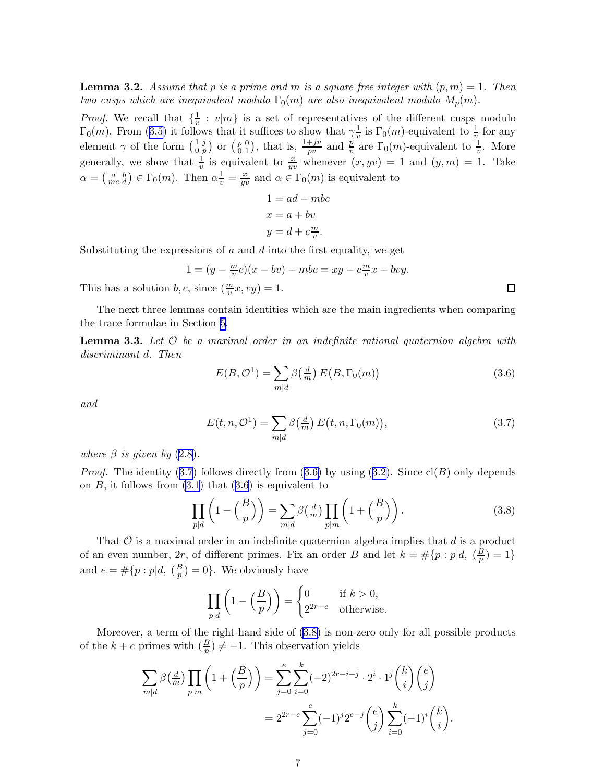7

<span id="page-7-0"></span>**Lemma 3.2.** Assume that p is a prime and m is a square free integer with  $(p, m) = 1$ . Then two cusps which are inequivalent modulo  $\Gamma_0(m)$  are also inequivalent modulo  $M_p(m)$ .

*Proof.* We recall that  $\{\frac{1}{v}\}$  $\frac{1}{v} : v|m$  is a set of representatives of the different cusps modulo  $\Gamma_0(m)$ . From [\(3.5\)](#page-6-0) it follows that it suffices to show that  $\gamma_v^1$  $\frac{1}{v}$  is  $\Gamma_0(m)$ -equivalent to  $\frac{1}{v}$  for any element  $\gamma$  of the form  $\begin{pmatrix} 1 & j \\ 0 & n \end{pmatrix}$  $\begin{smallmatrix} 1&j\0&p \end{smallmatrix}$  or  $\begin{smallmatrix} p&0\0&1 \end{smallmatrix}$  $\binom{p}{0 \ 1}$ , that is,  $\frac{1+jv}{pv}$  and  $\frac{p}{v}$  are  $\Gamma_0(m)$ -equivalent to  $\frac{1}{v}$ . More generally, we show that  $\frac{1}{v}$  is equivalent to  $\frac{x}{yv}$  whenever  $(x, yv) = 1$  and  $(y, m) = 1$ . Take  $\alpha = \begin{pmatrix} a & b \\ mc & d \end{pmatrix} \in \Gamma_0(m)$ . Then  $\alpha \frac{1}{v} = \frac{x}{yv}$  $\frac{x}{yv}$  and  $\alpha \in \Gamma_0(m)$  is equivalent to

$$
1 = ad - mbc
$$

$$
x = a + bv
$$

$$
y = d + c\frac{m}{v}.
$$

Substituting the expressions of  $a$  and  $d$  into the first equality, we get

$$
1 = (y - \frac{m}{v}c)(x - bv) - mbc = xy - c\frac{m}{v}
$$
This has a solution  $b, c$ , since  $(\frac{m}{v}x, vy) = 1$ .

The next three lemmas contain identities which are the main ingredients when comparing the trace formulae in Section [5](#page-19-0).

**Lemma 3.3.** Let  $\mathcal{O}$  be a maximal order in an indefinite rational quaternion algebra with discriminant d. Then

$$
E(B, \mathcal{O}^1) = \sum_{m|d} \beta\left(\frac{d}{m}\right) E\left(B, \Gamma_0(m)\right) \tag{3.6}
$$

 $\frac{m}{v}x - bvy.$ 

and

$$
E(t, n, \mathcal{O}^1) = \sum_{m|d} \beta\left(\frac{d}{m}\right) E\left(t, n, \Gamma_0(m)\right),\tag{3.7}
$$

where  $\beta$  is given by  $(2.8)$  $(2.8)$  $(2.8)$ .

*Proof.*The identity (3.7) follows directly from (3.6) by using ([3.2\)](#page-5-0). Since  $cl(B)$  only depends on  $B$ , it follows from  $(3.1)$  that  $(3.6)$  is equivalent to

$$
\prod_{p|d} \left( 1 - \left(\frac{B}{p}\right) \right) = \sum_{m|d} \beta\left(\frac{d}{m}\right) \prod_{p|m} \left( 1 + \left(\frac{B}{p}\right) \right). \tag{3.8}
$$

That  $\mathcal O$  is a maximal order in an indefinite quaternion algebra implies that  $d$  is a product of an even number, 2r, of different primes. Fix an order B and let  $k = \# \{p : p | d, \left( \frac{B}{p} \right) \}$  $(\frac{B}{p}) = 1$ and  $e = \# \{p : p | d, \ (\frac{B}{p})\}$  $\frac{B}{p}$ ) = 0}. We obviously have

$$
\prod_{p|d} \left( 1 - \left( \frac{B}{p} \right) \right) = \begin{cases} 0 & \text{if } k > 0, \\ 2^{2r - e} & \text{otherwise.} \end{cases}
$$

Moreover, a term of the right-hand side of (3.8) is non-zero only for all possible products of the  $k + e$  primes with  $(\frac{B}{p}) \neq -1$ . This observation yields

$$
\sum_{m|d} \beta\left(\frac{d}{m}\right) \prod_{p|m} \left(1 + \left(\frac{B}{p}\right)\right) = \sum_{j=0}^{e} \sum_{i=0}^{k} (-2)^{2r-i-j} \cdot 2^i \cdot 1^j \binom{k}{i} \binom{e}{j} \n= 2^{2r-e} \sum_{j=0}^{e} (-1)^j 2^{e-j} \binom{e}{j} \sum_{i=0}^{k} (-1)^i \binom{k}{i}.
$$

$$
\Box
$$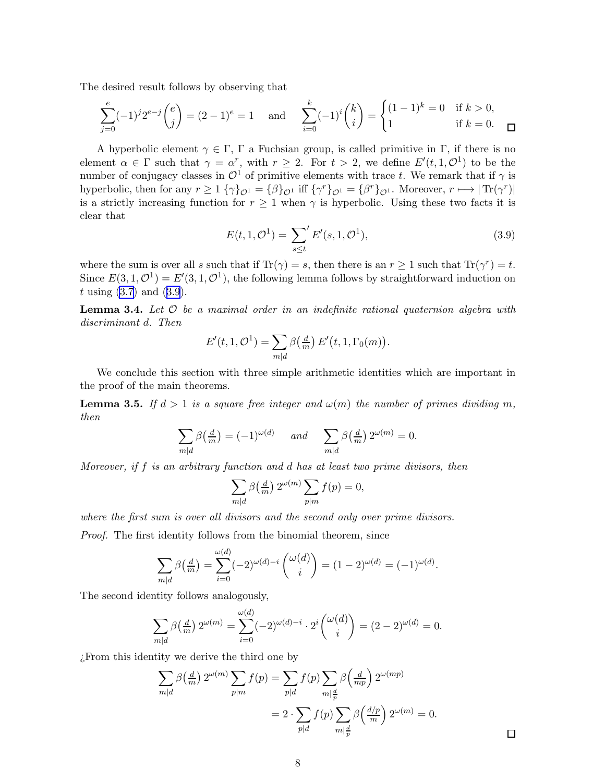<span id="page-8-0"></span>The desired result follows by observing that

$$
\sum_{j=0}^{e} (-1)^j 2^{e-j} {e \choose j} = (2-1)^e = 1 \quad \text{and} \quad \sum_{i=0}^{k} (-1)^i {k \choose i} = \begin{cases} (1-1)^k = 0 & \text{if } k > 0, \\ 1 & \text{if } k = 0. \end{cases}
$$

A hyperbolic element  $\gamma \in \Gamma$ , Γ a Fuchsian group, is called primitive in Γ, if there is no element  $\alpha \in \Gamma$  such that  $\gamma = \alpha^r$ , with  $r \geq 2$ . For  $t > 2$ , we define  $E'(t, 1, \mathcal{O}^1)$  to be the number of conjugacy classes in  $\mathcal{O}^1$  of primitive elements with trace t. We remark that if  $\gamma$  is hyperbolic, then for any  $r \ge 1$  { $\gamma$ } $_{\mathcal{O}1} = {\beta}$ } $_{\mathcal{O}1}$  iff { $\gamma^r$ } $_{\mathcal{O}1} = {\beta}^r$  $_{\mathcal{O}1}$ . Moreover,  $r \mapsto |\text{Tr}(\gamma^r)|$ is a strictly increasing function for  $r \geq 1$  when  $\gamma$  is hyperbolic. Using these two facts it is clear that

$$
E(t, 1, \mathcal{O}^1) = \sum_{s \le t'} E'(s, 1, \mathcal{O}^1),
$$
\n(3.9)

where the sum is over all s such that if  $\text{Tr}(\gamma) = s$ , then there is an  $r \ge 1$  such that  $\text{Tr}(\gamma^r) = t$ . Since  $E(3,1,\mathcal{O}^1) = E'(3,1,\mathcal{O}^1)$ , the following lemma follows by straightforward induction on  $t \text{ using } (3.7) \text{ and } (3.9).$  $t \text{ using } (3.7) \text{ and } (3.9).$  $t \text{ using } (3.7) \text{ and } (3.9).$ 

**Lemma 3.4.** Let  $\mathcal{O}$  be a maximal order in an indefinite rational quaternion algebra with discriminant d. Then

$$
E'(t,1,\mathcal{O}^1) = \sum_{m|d} \beta\left(\frac{d}{m}\right) E'(t,1,\Gamma_0(m)).
$$

We conclude this section with three simple arithmetic identities which are important in the proof of the main theorems.

**Lemma 3.5.** If  $d > 1$  is a square free integer and  $\omega(m)$  the number of primes dividing m, then

$$
\sum_{m|d} \beta\left(\frac{d}{m}\right) = (-1)^{\omega(d)} \quad \text{and} \quad \sum_{m|d} \beta\left(\frac{d}{m}\right) 2^{\omega(m)} = 0.
$$

Moreover, if  $f$  is an arbitrary function and  $d$  has at least two prime divisors, then

$$
\sum_{m|d} \beta\left(\frac{d}{m}\right) 2^{\omega(m)} \sum_{p|m} f(p) = 0,
$$

where the first sum is over all divisors and the second only over prime divisors.

Proof. The first identity follows from the binomial theorem, since

$$
\sum_{m|d} \beta\left(\frac{d}{m}\right) = \sum_{i=0}^{\omega(d)} (-2)^{\omega(d)-i} \binom{\omega(d)}{i} = (1-2)^{\omega(d)} = (-1)^{\omega(d)}.
$$

The second identity follows analogously,

$$
\sum_{m|d} \beta\left(\frac{d}{m}\right) 2^{\omega(m)} = \sum_{i=0}^{\omega(d)} (-2)^{\omega(d)-i} \cdot 2^i \binom{\omega(d)}{i} = (2-2)^{\omega(d)} = 0.
$$

¿From this identity we derive the third one by

$$
\sum_{m|d} \beta\left(\frac{d}{m}\right) 2^{\omega(m)} \sum_{p|m} f(p) = \sum_{p|d} f(p) \sum_{m|\frac{d}{p}} \beta\left(\frac{d}{mp}\right) 2^{\omega(mp)}
$$
  
= 
$$
2 \cdot \sum_{p|d} f(p) \sum_{m|\frac{d}{p}} \beta\left(\frac{d/p}{m}\right) 2^{\omega(m)} = 0.
$$

 $\Box$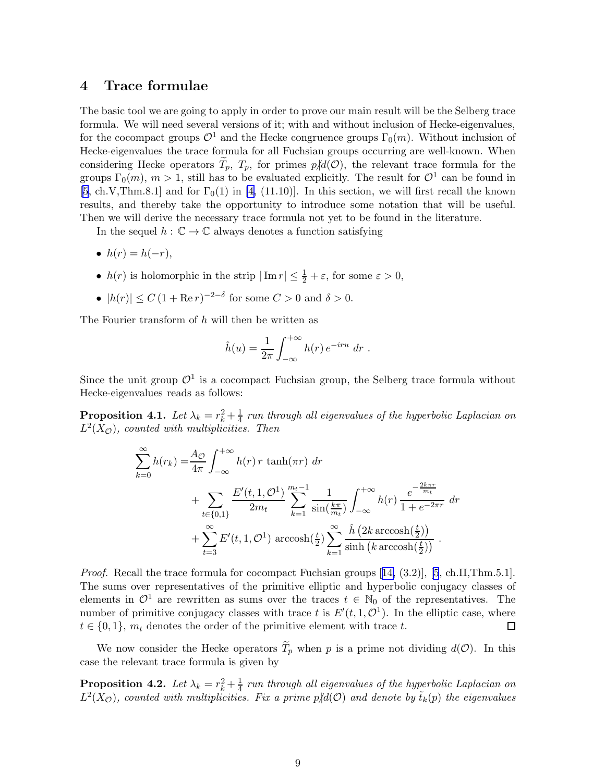## <span id="page-9-0"></span>4 Trace formulae

The basic tool we are going to apply in order to prove our main result will be the Selberg trace formula. We will need several versions of it; with and without inclusion of Hecke-eigenvalues, for the cocompact groups  $\mathcal{O}^1$  and the Hecke congruence groups  $\Gamma_0(m)$ . Without inclusion of Hecke-eigenvalues the trace formula for all Fuchsian groups occurring are well-known. When considering Hecke operators  $T_p$ ,  $T_p$ , for primes  $p/d(\mathcal{O})$ , the relevant trace formula for the groups  $\Gamma_0(m)$ ,  $m > 1$ , still has to be evaluated explicitly. The result for  $\mathcal{O}^1$  can be found in [\[5](#page-21-0), ch.V,Thm.8.1] and for  $\Gamma_0(1)$  in [\[4,](#page-21-0) (11.10)]. In this section, we will first recall the known results, and thereby take the opportunity to introduce some notation that will be useful. Then we will derive the necessary trace formula not yet to be found in the literature.

In the sequel  $h : \mathbb{C} \to \mathbb{C}$  always denotes a function satisfying

- $h(r) = h(-r)$ ,
- $h(r)$  is holomorphic in the strip  $|\operatorname{Im} r| \leq \frac{1}{2} + \varepsilon$ , for some  $\varepsilon > 0$ ,
- $|h(r)| \le C (1 + \text{Re } r)^{-2-\delta}$  for some  $C > 0$  and  $\delta > 0$ .

The Fourier transform of h will then be written as

$$
\hat{h}(u) = \frac{1}{2\pi} \int_{-\infty}^{+\infty} h(r) e^{-iru} dr.
$$

Since the unit group  $\mathcal{O}^1$  is a cocompact Fuchsian group, the Selberg trace formula without Hecke-eigenvalues reads as follows:

**Proposition 4.1.** Let  $\lambda_k = r_k^2 + \frac{1}{4}$  run through all eigenvalues of the hyperbolic Laplacian on  $L^2(X_{\mathcal{O}})$ , counted with multiplicities. Then

$$
\sum_{k=0}^{\infty} h(r_k) = \frac{A_{\mathcal{O}}}{4\pi} \int_{-\infty}^{+\infty} h(r) \, r \, \tanh(\pi r) \, dr\n+ \sum_{t \in \{0,1\}} \frac{E'(t,1,\mathcal{O}^1)}{2m_t} \sum_{k=1}^{m_t-1} \frac{1}{\sin(\frac{k\pi}{m_t})} \int_{-\infty}^{+\infty} h(r) \, \frac{e^{-\frac{2k\pi r}{m_t}}}{1 + e^{-2\pi r}} \, dr\n+ \sum_{t=3}^{\infty} E'(t,1,\mathcal{O}^1) \arccosh(\frac{t}{2}) \sum_{k=1}^{\infty} \frac{\hat{h} \left(2k \arccosh(\frac{t}{2})\right)}{\sinh(k \arccosh(\frac{t}{2}))} \, .
$$

*Proof.*Recall the trace formula for cocompact Fuchsian groups  $[14, (3.2)]$  $[14, (3.2)]$  $[14, (3.2)]$ ,  $[5, ch.II, Thm.5.1]$ . The sums over representatives of the primitive elliptic and hyperbolic conjugacy classes of elements in  $\mathcal{O}^1$  are rewritten as sums over the traces  $t \in \mathbb{N}_0$  of the representatives. The number of primitive conjugacy classes with trace t is  $E'(t, 1, \mathcal{O}^1)$ . In the elliptic case, where  $t \in \{0,1\}$ ,  $m_t$  denotes the order of the primitive element with trace t.  $\Box$ 

We now consider the Hecke operators  $\widetilde{T}_p$  when p is a prime not dividing  $d(\mathcal{O})$ . In this case the relevant trace formula is given by

**Proposition 4.2.** Let  $\lambda_k = r_k^2 + \frac{1}{4}$  run through all eigenvalues of the hyperbolic Laplacian on  $L^2(X_{\mathcal{O}})$ , counted with multiplicities. Fix a prime  $p/d(\mathcal{O})$  and denote by  $\tilde{t}_k(p)$  the eigenvalues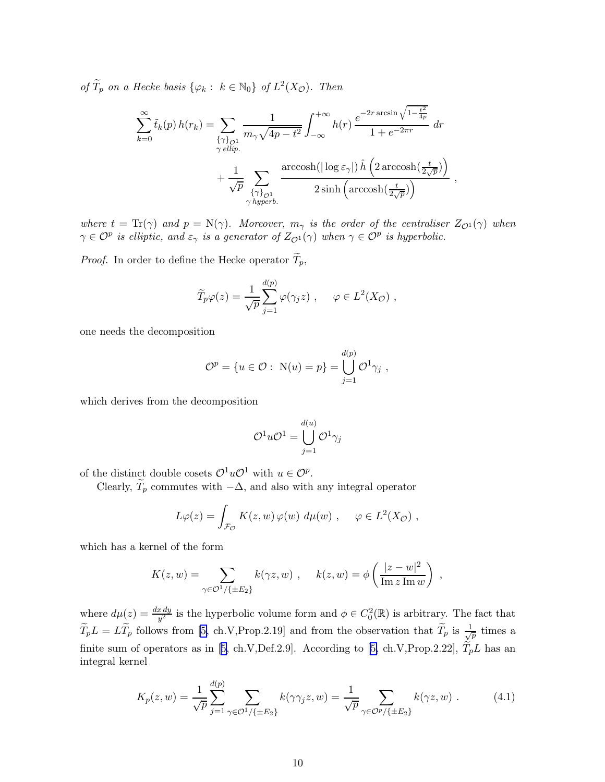<span id="page-10-0"></span>of  $T_p$  on a Hecke basis  $\{\varphi_k : k \in \mathbb{N}_0\}$  of  $L^2(X_{\mathcal{O}})$ . Then

$$
\sum_{k=0}^{\infty} \tilde{t}_k(p) h(r_k) = \sum_{\substack{\{\gamma\}_{\mathcal{O}^1} \\ \gamma \in \text{llip.}}} \frac{1}{m_{\gamma} \sqrt{4p - t^2}} \int_{-\infty}^{+\infty} h(r) \, \frac{e^{-2r \arcsin \sqrt{1 - \frac{t^2}{4p}}}}{1 + e^{-2\pi r}} \, dr + \frac{1}{\sqrt{p}} \sum_{\substack{\{\gamma\}_{\mathcal{O}^1} \\ \gamma \text{ hyperb.}}} \frac{\arccosh(\vert \log \varepsilon_{\gamma} \vert) \, \hat{h} \left( 2 \arccosh(\frac{t}{2\sqrt{p}}) \right)}{2 \sinh \left( \arccosh(\frac{t}{2\sqrt{p}}) \right)},
$$

where  $t = \text{Tr}(\gamma)$  and  $p = \text{N}(\gamma)$ . Moreover,  $m_{\gamma}$  is the order of the centraliser  $Z_{\mathcal{O}^1}(\gamma)$  when  $\gamma \in \mathcal{O}^p$  is elliptic, and  $\varepsilon_\gamma$  is a generator of  $Z_{\mathcal{O}^1}(\gamma)$  when  $\gamma \in \mathcal{O}^p$  is hyperbolic.

*Proof.* In order to define the Hecke operator  $\widetilde{T}_p$ ,

$$
\widetilde{T}_p \varphi(z) = \frac{1}{\sqrt{p}} \sum_{j=1}^{d(p)} \varphi(\gamma_j z) , \quad \varphi \in L^2(X_{\mathcal{O}}) ,
$$

one needs the decomposition

$$
\mathcal{O}^p = \{u \in \mathcal{O} : \ N(u) = p\} = \bigcup_{j=1}^{d(p)} \mathcal{O}^1 \gamma_j ,
$$

which derives from the decomposition

$$
\mathcal{O}^1 u \mathcal{O}^1 = \bigcup_{j=1}^{d(u)} \mathcal{O}^1 \gamma_j
$$

of the distinct double cosets  $\mathcal{O}^1 u \mathcal{O}^1$  with  $u \in \mathcal{O}^p$ .

Clearly,  $\widetilde{T}_p$  commutes with  $-\Delta$ , and also with any integral operator

$$
L\varphi(z) = \int_{\mathcal{F}_{\mathcal{O}}} K(z, w) \varphi(w) \, d\mu(w) \, , \quad \varphi \in L^2(X_{\mathcal{O}}) \, ,
$$

which has a kernel of the form

$$
K(z, w) = \sum_{\gamma \in \mathcal{O}^1/\{\pm E_2\}} k(\gamma z, w) , \quad k(z, w) = \phi\left(\frac{|z - w|^2}{\operatorname{Im} z \operatorname{Im} w}\right) ,
$$

where  $d\mu(z) = \frac{dx\,dy}{y^2}$  is the hyperbolic volume form and  $\phi \in C_0^2(\mathbb{R})$  is arbitrary. The fact that  $\widetilde{T}_pL = L\widetilde{T}_p$  follows from [\[5,](#page-21-0) ch.V,Prop.2.19] and from the observation that  $\widetilde{T}_p$  is  $\frac{1}{\sqrt{2}}$  $\frac{1}{p}$  times a finitesum of operators as in [[5](#page-21-0), ch.V,Def.2.9]. According to [\[5,](#page-21-0) ch.V,Prop.2.22],  $\tilde{T}_pL$  has an integral kernel

$$
K_p(z, w) = \frac{1}{\sqrt{p}} \sum_{j=1}^{d(p)} \sum_{\gamma \in \mathcal{O}^1/\{\pm E_2\}} k(\gamma \gamma_j z, w) = \frac{1}{\sqrt{p}} \sum_{\gamma \in \mathcal{O}^p/\{\pm E_2\}} k(\gamma z, w) .
$$
 (4.1)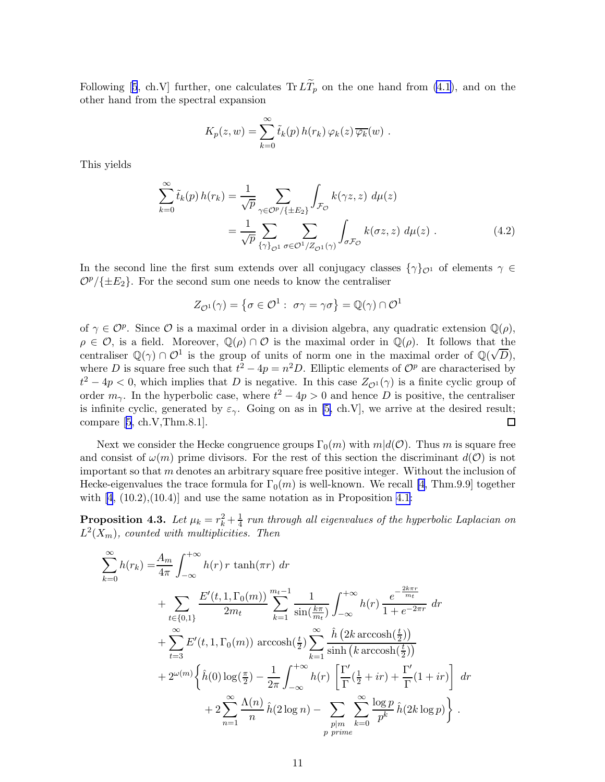<span id="page-11-0"></span>Following[[5](#page-21-0), ch.V] further, one calculates  $Tr L\tilde{T}_p$  on the one hand from [\(4.1](#page-10-0)), and on the other hand from the spectral expansion

$$
K_p(z, w) = \sum_{k=0}^{\infty} \tilde{t}_k(p) h(r_k) \varphi_k(z) \overline{\varphi_k}(w) .
$$

This yields

$$
\sum_{k=0}^{\infty} \tilde{t}_k(p) h(r_k) = \frac{1}{\sqrt{p}} \sum_{\gamma \in \mathcal{O}^p/\{\pm E_2\}} \int_{\mathcal{F}_{\mathcal{O}}} k(\gamma z, z) d\mu(z)
$$

$$
= \frac{1}{\sqrt{p}} \sum_{\{\gamma\}_{\mathcal{O}^1}} \sum_{\sigma \in \mathcal{O}^1/\mathbb{Z}_{\mathcal{O}^1}(\gamma)} \int_{\sigma \mathcal{F}_{\mathcal{O}}} k(\sigma z, z) d\mu(z) . \tag{4.2}
$$

In the second line the first sum extends over all conjugacy classes  $\{\gamma\}_{\mathcal{O}^1}$  of elements  $\gamma \in$  $\mathcal{O}^p/\{\pm E_2\}$ . For the second sum one needs to know the centraliser

$$
Z_{\mathcal{O}^1}(\gamma) = \left\{ \sigma \in \mathcal{O}^1 : \sigma \gamma = \gamma \sigma \right\} = \mathbb{Q}(\gamma) \cap \mathcal{O}^1
$$

of  $\gamma \in \mathcal{O}^p$ . Since  $\mathcal O$  is a maximal order in a division algebra, any quadratic extension  $\mathbb{Q}(\rho)$ ,  $\rho \in \mathcal{O}$ , is a field. Moreover,  $\mathbb{Q}(\rho) \cap \mathcal{O}$  is the maximal order in  $\mathbb{Q}(\rho)$ . It follows that the centraliser  $\mathbb{Q}(\gamma) \cap \mathcal{O}^1$  is the group of units of norm one in the maximal order of  $\mathbb{Q}(\sqrt{D})$ , where D is square free such that  $t^2 - 4p = n^2D$ . Elliptic elements of  $\mathcal{O}^p$  are characterised by  $t^2 - 4p < 0$ , which implies that D is negative. In this case  $Z_{\mathcal{O}^1}(\gamma)$  is a finite cyclic group of order  $m_{\gamma}$ . In the hyperbolic case, where  $t^2 - 4p > 0$  and hence D is positive, the centraliser is infinite cyclic, generated by  $\varepsilon_{\gamma}$ . Going on as in [\[5,](#page-21-0) ch.V], we arrive at the desired result; compare[[5](#page-21-0), ch.V,Thm.8.1].  $\Box$ 

Next we consider the Hecke congruence groups  $\Gamma_0(m)$  with  $m|d(\mathcal{O})$ . Thus m is square free and consist of  $\omega(m)$  prime divisors. For the rest of this section the discriminant  $d(\mathcal{O})$  is not important so that  $m$  denotes an arbitrary square free positive integer. Without the inclusion of Hecke-eigenvalues the trace formula for  $\Gamma_0(m)$  is well-known. We recall [\[4,](#page-21-0) Thm.9.9] together with $[4, (10.2), (10.4)]$  $[4, (10.2), (10.4)]$  $[4, (10.2), (10.4)]$  and use the same notation as in Proposition [4.1:](#page-9-0)

**Proposition 4.3.** Let  $\mu_k = r_k^2 + \frac{1}{4}$  $\frac{1}{4}$  run through all eigenvalues of the hyperbolic Laplacian on  $L^2(X_m)$ , counted with multiplicities. Then

$$
\sum_{k=0}^{\infty} h(r_k) = \frac{A_m}{4\pi} \int_{-\infty}^{+\infty} h(r) \, r \, \tanh(\pi r) \, dr\n+ \sum_{t \in \{0,1\}} \frac{E'(t, 1, \Gamma_0(m))}{2m_t} \sum_{k=1}^{m_t - 1} \frac{1}{\sin(\frac{k\pi}{m_t})} \int_{-\infty}^{+\infty} h(r) \, \frac{e^{-\frac{2k\pi r}{m_t}}}{1 + e^{-2\pi r}} \, dr\n+ \sum_{t=3}^{\infty} E'(t, 1, \Gamma_0(m)) \arccosh(\frac{t}{2}) \sum_{k=1}^{\infty} \frac{\hat{h}(2k \arccosh(\frac{t}{2}))}{\sinh(k \arccosh(\frac{t}{2}))}\n+ 2^{\omega(m)} \left\{ \hat{h}(0) \log(\frac{\pi}{2}) - \frac{1}{2\pi} \int_{-\infty}^{+\infty} h(r) \left[ \frac{\Gamma'}{\Gamma}(\frac{1}{2} + ir) + \frac{\Gamma'}{\Gamma}(1 + ir) \right] \, dr\n+ 2 \sum_{n=1}^{\infty} \frac{\Lambda(n)}{n} \hat{h}(2 \log n) - \sum_{\substack{p|m \ k=0}} \sum_{k=0}^{\infty} \frac{\log p}{p^k} \hat{h}(2k \log p) \right\}.
$$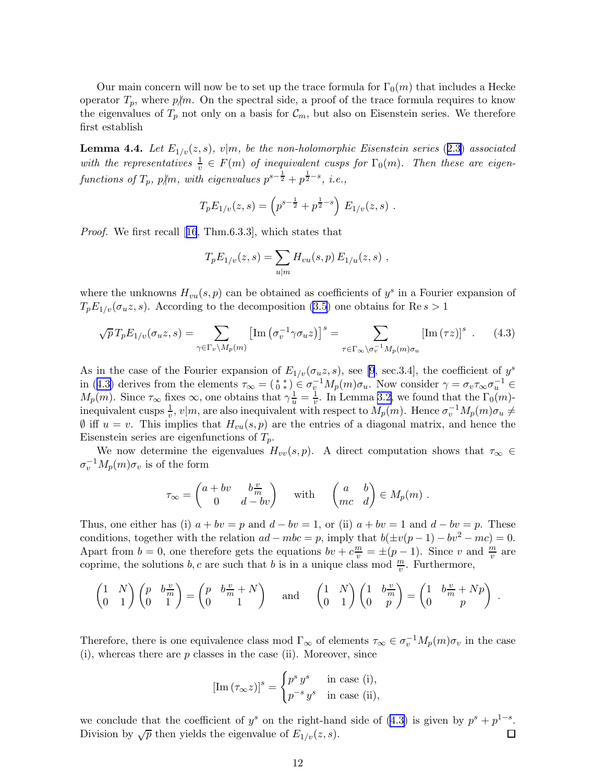<span id="page-12-0"></span>Our main concern will now be to set up the trace formula for  $\Gamma_0(m)$  that includes a Hecke operator  $T_p$ , where  $p/m$ . On the spectral side, a proof of the trace formula requires to know the eigenvalues of  $T_p$  not only on a basis for  $\mathcal{C}_m$ , but also on Eisenstein series. We therefore first establish

**Lemma 4.4.** Let  $E_{1/v}(z, s)$ ,  $v|m$ , be the non-holomorphic Eisenstein series (2.[3\)](#page-3-0) associated with the representatives  $\frac{1}{v} \in F(m)$  of inequivalent cusps for  $\Gamma_0(m)$ . Then these are eigenfunctions of  $T_p$ ,  $p/m$ , with eigenvalues  $p^{s-\frac{1}{2}} + p^{\frac{1}{2} - s}$ , i.e.,

$$
T_p E_{1/v}(z,s) = \left(p^{s-\frac{1}{2}} + p^{\frac{1}{2}-s}\right) E_{1/v}(z,s) .
$$

Proof. We first recall[[16](#page-22-0), Thm.6.3.3], which states that

$$
T_p E_{1/v}(z, s) = \sum_{u|m} H_{vu}(s, p) E_{1/u}(z, s) ,
$$

where the unknowns  $H_{vu}(s, p)$  can be obtained as coefficients of  $y^s$  in a Fourier expansion of  $T_p E_{1/v}(\sigma_u z, s)$ . According to the decomposition [\(3.5\)](#page-6-0) one obtains for Re  $s > 1$ 

$$
\sqrt{p}T_p E_{1/v}(\sigma_u z, s) = \sum_{\gamma \in \Gamma_v \backslash M_p(m)} \left[ \text{Im} \left( \sigma_v^{-1} \gamma \sigma_u z \right) \right]^s = \sum_{\tau \in \Gamma_\infty \backslash \sigma_v^{-1} M_p(m) \sigma_u} \left[ \text{Im} \left( \tau z \right) \right]^s . \tag{4.3}
$$

As in the case of the Fourier expansion of  $E_{1/v}(\sigma_u z, s)$ , see [\[9](#page-22-0), sec.3.4], the coefficient of  $y^s$ in (4.3) derives from the elements  $\tau_{\infty} = \begin{pmatrix} * & * \\ 0 & * \end{pmatrix} \in \sigma_v^{-1} M_p(m) \sigma_u$ . Now consider  $\gamma = \sigma_v \tau_{\infty} \sigma_u^{-1} \in$  $M_p(m)$ . Since  $\tau_{\infty}$  fixes  $\infty$ , one obtains that  $\gamma \frac{1}{u} = \frac{1}{v}$ . In Lemma [3.2,](#page-6-0) we found that the  $\Gamma_0(m)$ inequivalent cusps  $\frac{1}{v}$ ,  $v|m$ , are also inequivalent with respect to  $M_p(m)$ . Hence  $\sigma_v^{-1}M_p(m)\sigma_u \neq$  $\emptyset$  iff  $u = v$ . This implies that  $H_{vu}(s, p)$  are the entries of a diagonal matrix, and hence the Eisenstein series are eigenfunctions of  $T_p$ .

We now determine the eigenvalues  $H_{vv}(s, p)$ . A direct computation shows that  $\tau_{\infty} \in$  $\sigma_v^{-1} M_p(m) \sigma_v$  is of the form

$$
\tau_{\infty} = \begin{pmatrix} a + bv & b\frac{v}{m} \\ 0 & d - bv \end{pmatrix} \quad \text{with} \quad \begin{pmatrix} a & b \\ mc & d \end{pmatrix} \in M_p(m) .
$$

Thus, one either has (i)  $a + bv = p$  and  $d - bv = 1$ , or (ii)  $a + bv = 1$  and  $d - bv = p$ . These conditions, together with the relation  $ad - mbc = p$ , imply that  $b(\pm v(p-1) - bv^2 - mc) = 0$ . Apart from  $b = 0$ , one therefore gets the equations  $bv + c^{\frac{m}{v}} = \pm (p-1)$ . Since v and  $\frac{m}{v}$  are coprime, the solutions  $b, c$  are such that b is in a unique class mod  $\frac{m}{v}$ . Furthermore,

$$
\begin{pmatrix} 1 & N \\ 0 & 1 \end{pmatrix} \begin{pmatrix} p & b\frac{v}{m} \\ 0 & 1 \end{pmatrix} = \begin{pmatrix} p & b\frac{v}{m} + N \\ 0 & 1 \end{pmatrix} \text{ and } \begin{pmatrix} 1 & N \\ 0 & 1 \end{pmatrix} \begin{pmatrix} 1 & b\frac{v}{m} \\ 0 & p \end{pmatrix} = \begin{pmatrix} 1 & b\frac{v}{m} + Np \\ 0 & p \end{pmatrix}.
$$

Therefore, there is one equivalence class mod  $\Gamma_{\infty}$  of elements  $\tau_{\infty} \in \sigma_v^{-1} M_p(m) \sigma_v$  in the case  $(i)$ , whereas there are p classes in the case  $(ii)$ . Moreover, since

$$
[\text{Im}(\tau_{\infty}z)]^s = \begin{cases} p^s y^s & \text{in case (i),} \\ p^{-s} y^s & \text{in case (ii),} \end{cases}
$$

we conclude that the coefficient of  $y^s$  on the right-hand side of (4.3) is given by  $p^s + p^{1-s}$ . Division by  $\sqrt{p}$  then yields the eigenvalue of  $E_{1/v}(z, s)$ .  $\Box$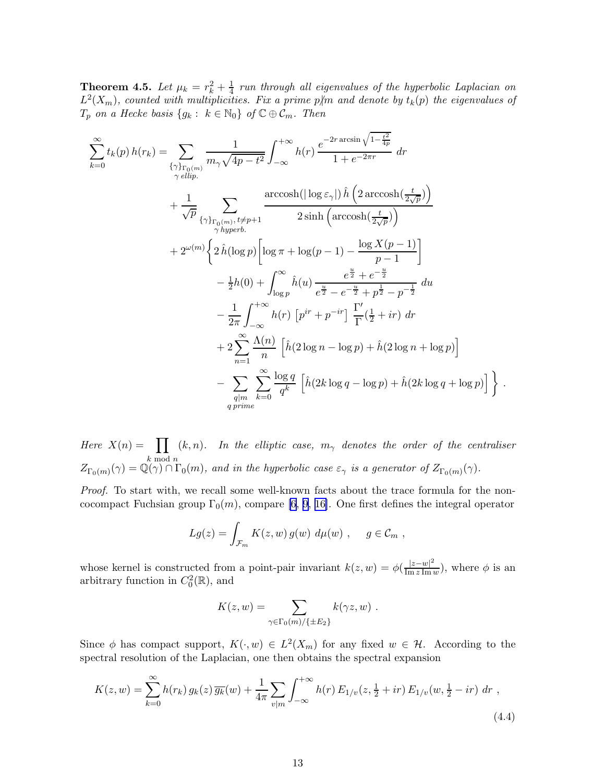<span id="page-13-0"></span>**Theorem 4.5.** Let  $\mu_k = r_k^2 + \frac{1}{4}$  $\frac{1}{4}$  run through all eigenvalues of the hyperbolic Laplacian on  $L^2(X_m)$ , counted with multiplicities. Fix a prime p/m and denote by  $t_k(p)$  the eigenvalues of  $T_p$  on a Hecke basis  $\{g_k: k \in \mathbb{N}_0\}$  of  $\mathbb{C} \oplus \mathcal{C}_m$ . Then

$$
\sum_{k=0}^{\infty} t_k(p) h(r_k) = \sum_{\substack{\{\gamma\}_{\text{right}(m)}}} \frac{1}{m_{\gamma}\sqrt{4p-t^2}} \int_{-\infty}^{+\infty} h(r) \frac{e^{-2r \arcsin\sqrt{1-\frac{t^2}{4p}}}}{1+e^{-2\pi r}} dr \n+ \frac{1}{\sqrt{p}} \sum_{\substack{\gamma\}_{\text{right}(m), t \neq p+1}} \frac{\arccosh(|\log \varepsilon_{\gamma}|) \hat{h} \left(2 \arccosh(\frac{t}{2\sqrt{p}})\right)}{2 \sinh\left(\arccosh(\frac{t}{2\sqrt{p}})\right)} \n+ 2^{\omega(m)} \left\{2 \hat{h} (\log p) \left[\log \pi + \log(p-1) - \frac{\log X(p-1)}{p-1}\right] - \frac{1}{2}h(0) + \int_{\log p}^{\infty} \hat{h}(u) \frac{e^{\frac{u}{2}} + e^{-\frac{u}{2}}}{e^{\frac{u}{2}} - e^{-\frac{u}{2}} + p^{\frac{1}{2}} - p^{-\frac{1}{2}}} du \n- \frac{1}{2\pi} \int_{-\infty}^{+\infty} h(r) \left[p^{ir} + p^{-ir}\right] \frac{\Gamma'}{\Gamma}(\frac{1}{2} + ir) dr \n+ 2 \sum_{n=1}^{\infty} \frac{\Lambda(n)}{n} \left[\hat{h}(2 \log n - \log p) + \hat{h}(2 \log n + \log p)\right] \n- \sum_{q|m} \sum_{k=0}^{\infty} \frac{\log q}{q^k} \left[\hat{h}(2k \log q - \log p) + \hat{h}(2k \log q + \log p)\right].
$$

Here  $X(n) = \prod$ k mod n  $(k,n)$ . In the elliptic case,  $m_{\gamma}$  denotes the order of the centraliser  $Z_{\Gamma_0(m)}(\gamma) = \mathbb{Q}(\gamma) \cap \Gamma_0(m)$ , and in the hyperbolic case  $\varepsilon_\gamma$  is a generator of  $Z_{\Gamma_0(m)}(\gamma)$ .

Proof. To start with, we recall some well-known facts about the trace formula for the noncocompact Fuchsian group  $\Gamma_0(m)$ , compare [\[6,](#page-21-0) [9](#page-22-0), [16\]](#page-22-0). One first defines the integral operator

$$
Lg(z) = \int_{\mathcal{F}_m} K(z, w) g(w) d\mu(w) , \quad g \in \mathcal{C}_m ,
$$

whose kernel is constructed from a point-pair invariant  $k(z, w) = \phi(\frac{|z-w|^2}{\text{Im }z \text{Im }w})$  $\frac{|z-w|}{\text{Im }z \text{Im }w}$ , where  $\phi$  is an arbitrary function in  $C_0^2(\mathbb{R})$ , and

$$
K(z, w) = \sum_{\gamma \in \Gamma_0(m)/\{\pm E_2\}} k(\gamma z, w) .
$$

Since  $\phi$  has compact support,  $K(\cdot, w) \in L^2(X_m)$  for any fixed  $w \in \mathcal{H}$ . According to the spectral resolution of the Laplacian, one then obtains the spectral expansion

$$
K(z, w) = \sum_{k=0}^{\infty} h(r_k) g_k(z) \overline{g_k}(w) + \frac{1}{4\pi} \sum_{v|m} \int_{-\infty}^{+\infty} h(r) E_{1/v}(z, \frac{1}{2} + ir) E_{1/v}(w, \frac{1}{2} - ir) \, dr \tag{4.4}
$$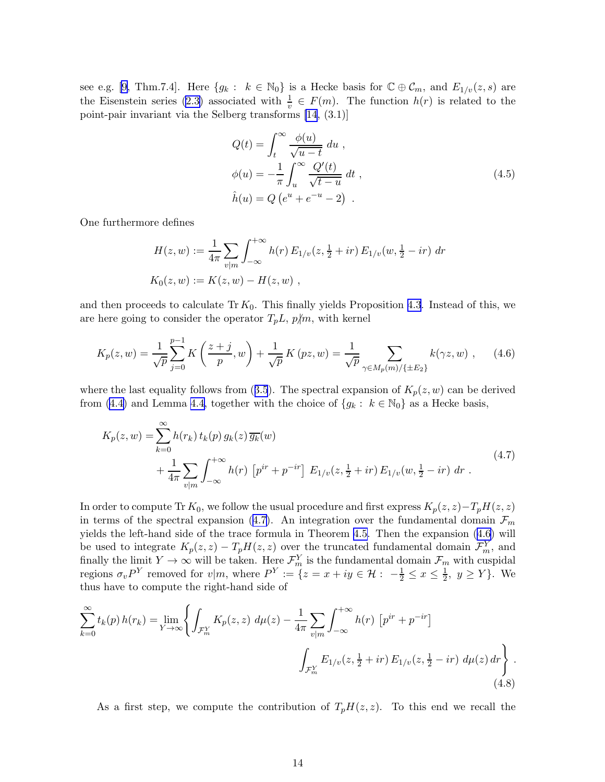<span id="page-14-0"></span>see e.g. [\[9,](#page-22-0) Thm.7.4]. Here  $\{g_k: k \in \mathbb{N}_0\}$  is a Hecke basis for  $\mathbb{C} \oplus \mathcal{C}_m$ , and  $E_{1/v}(z, s)$  are the Eisenstein series [\(2.3\)](#page-3-0) associated with  $\frac{1}{v} \in F(m)$ . The function  $h(r)$  is related to the point-pair invariant via the Selberg transforms [\[14](#page-22-0), (3.1)]

$$
Q(t) = \int_{t}^{\infty} \frac{\phi(u)}{\sqrt{u-t}} du ,
$$
  
\n
$$
\phi(u) = -\frac{1}{\pi} \int_{u}^{\infty} \frac{Q'(t)}{\sqrt{t-u}} dt ,
$$
  
\n
$$
\hat{h}(u) = Q(e^{u} + e^{-u} - 2) .
$$
\n(4.5)

One furthermore defines

$$
H(z, w) := \frac{1}{4\pi} \sum_{v|m} \int_{-\infty}^{+\infty} h(r) E_{1/v}(z, \frac{1}{2} + ir) E_{1/v}(w, \frac{1}{2} - ir) dr
$$
  

$$
K_0(z, w) := K(z, w) - H(z, w) ,
$$

and then proceeds to calculate Tr  $K_0$ . This finally yields Proposition [4.3](#page-11-0). Instead of this, we are here going to consider the operator  $T_pL$ ,  $p/m$ , with kernel

$$
K_p(z, w) = \frac{1}{\sqrt{p}} \sum_{j=0}^{p-1} K\left(\frac{z+j}{p}, w\right) + \frac{1}{\sqrt{p}} K\left(pz, w\right) = \frac{1}{\sqrt{p}} \sum_{\gamma \in M_p(m)/\{\pm E_2\}} k(\gamma z, w) ,\qquad(4.6)
$$

wherethe last equality follows from ([3.5](#page-6-0)). The spectral expansion of  $K_p(z, w)$  can be derived from [\(4.4\)](#page-13-0) and Lemma [4.4,](#page-12-0) together with the choice of  $\{g_k: k \in \mathbb{N}_0\}$  as a Hecke basis,

$$
K_p(z, w) = \sum_{k=0}^{\infty} h(r_k) t_k(p) g_k(z) \overline{g_k}(w)
$$
  
+ 
$$
\frac{1}{4\pi} \sum_{v|m} \int_{-\infty}^{+\infty} h(r) \left[ p^{ir} + p^{-ir} \right] E_{1/v}(z, \frac{1}{2} + ir) E_{1/v}(w, \frac{1}{2} - ir) dr .
$$
 (4.7)

In order to compute Tr  $K_0$ , we follow the usual procedure and first express  $K_p(z, z) - T_pH(z, z)$ in terms of the spectral expansion (4.7). An integration over the fundamental domain  $\mathcal{F}_m$ yields the left-hand side of the trace formula in Theorem [4.5.](#page-13-0) Then the expansion (4.6) will be used to integrate  $K_p(z, z) - T_p H(z, z)$  over the truncated fundamental domain  $\mathcal{F}_m^Y$ , and finally the limit  $Y \to \infty$  will be taken. Here  $\mathcal{F}_m^Y$  is the fundamental domain  $\mathcal{F}_m$  with cuspidal regions  $\sigma_v P^Y$  removed for  $v|m$ , where  $P^Y := \{z = x + iy \in \mathcal{H} : -\frac{1}{2} \leq x \leq \frac{1}{2}\}$  $\frac{1}{2}$ ,  $y \ge Y$ . We thus have to compute the right-hand side of

$$
\sum_{k=0}^{\infty} t_k(p) h(r_k) = \lim_{Y \to \infty} \left\{ \int_{\mathcal{F}_m^Y} K_p(z, z) \, d\mu(z) - \frac{1}{4\pi} \sum_{v|m} \int_{-\infty}^{+\infty} h(r) \left[ p^{ir} + p^{-ir} \right] \right\} \cdot \int_{\mathcal{F}_m^Y} E_{1/v}(z, \frac{1}{2} + ir) E_{1/v}(z, \frac{1}{2} - ir) \, d\mu(z) \, dr \right\} \,. \tag{4.8}
$$

As a first step, we compute the contribution of  $T_pH(z, z)$ . To this end we recall the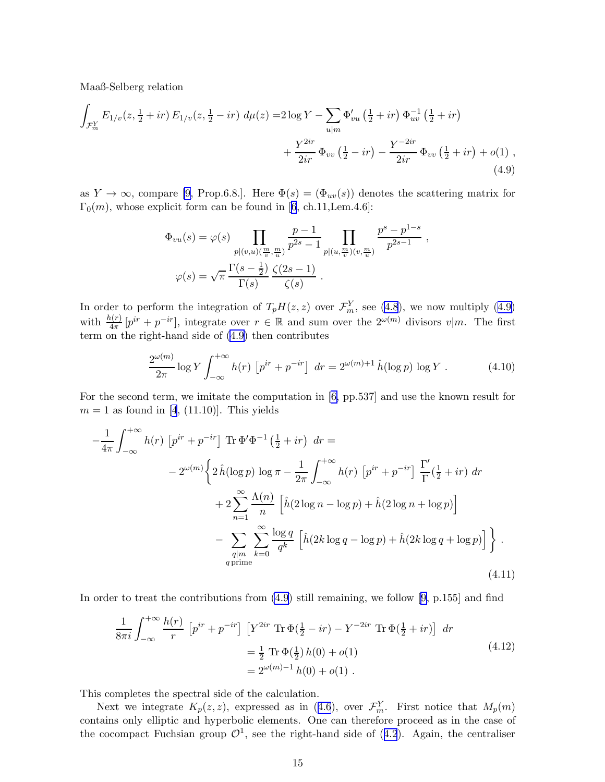<span id="page-15-0"></span>Maaß-Selberg relation

$$
\int_{\mathcal{F}_m^Y} E_{1/v}(z, \frac{1}{2} + ir) E_{1/v}(z, \frac{1}{2} - ir) d\mu(z) = 2 \log Y - \sum_{u|m} \Phi'_{vu} (\frac{1}{2} + ir) \Phi_{uv}^{-1} (\frac{1}{2} + ir) + \frac{Y^{2ir}}{2ir} \Phi_{vv} (\frac{1}{2} - ir) - \frac{Y^{-2ir}}{2ir} \Phi_{vv} (\frac{1}{2} + ir) + o(1)
$$
\n(4.9)

as  $Y \to \infty$ , compare [\[9,](#page-22-0) Prop.6.8.]. Here  $\Phi(s) = (\Phi_{uv}(s))$  denotes the scattering matrix for  $\Gamma_0(m)$ ,whose explicit form can be found in [[6](#page-21-0), ch.11, Lem.4.6]:

$$
\Phi_{vu}(s) = \varphi(s) \prod_{p|(v,u)(\frac{m}{v},\frac{m}{u})} \frac{p-1}{p^{2s}-1} \prod_{p|(u,\frac{m}{v})(v,\frac{m}{u})} \frac{p^s - p^{1-s}}{p^{2s-1}},
$$
  

$$
\varphi(s) = \sqrt{\pi} \frac{\Gamma(s-\frac{1}{2})}{\Gamma(s)} \frac{\zeta(2s-1)}{\zeta(s)}.
$$

In order to perform the integration of  $T_pH(z, z)$  over  $\mathcal{F}_m^Y$ , see [\(4.8](#page-14-0)), we now multiply (4.9) with  $\frac{h(r)}{4\pi} [p^{ir} + p^{-ir}]$ , integrate over  $r \in \mathbb{R}$  and sum over the  $2^{\omega(m)}$  divisors  $v|m$ . The first term on the right-hand side of (4.9) then contributes

$$
\frac{2^{\omega(m)}}{2\pi} \log Y \int_{-\infty}^{+\infty} h(r) \left[ p^{ir} + p^{-ir} \right] dr = 2^{\omega(m)+1} \hat{h}(\log p) \log Y . \tag{4.10}
$$

For the second term, we imitate the computation in [\[6,](#page-21-0) pp.537] and use the known result for  $m = 1$  as found in [\[4](#page-21-0), (11.10)]. This yields

$$
-\frac{1}{4\pi} \int_{-\infty}^{+\infty} h(r) \left[ p^{ir} + p^{-ir} \right] \text{Tr} \Phi' \Phi^{-1} \left( \frac{1}{2} + ir \right) dr =
$$
  

$$
- 2^{\omega(m)} \left\{ 2 \hat{h} (\log p) \log \pi - \frac{1}{2\pi} \int_{-\infty}^{+\infty} h(r) \left[ p^{ir} + p^{-ir} \right] \frac{\Gamma'}{\Gamma} \left( \frac{1}{2} + ir \right) dr + 2 \sum_{n=1}^{\infty} \frac{\Lambda(n)}{n} \left[ \hat{h} (2 \log n - \log p) + \hat{h} (2 \log n + \log p) \right] - \sum_{\substack{q|m \\ q \text{ prime}}} \sum_{k=0}^{\infty} \frac{\log q}{q^k} \left[ \hat{h} (2k \log q - \log p) + \hat{h} (2k \log q + \log p) \right] \right\}.
$$
  
(4.11)

In order to treat the contributions from  $(4.9)$  still remaining, we follow [\[9,](#page-22-0) p.155] and find

$$
\frac{1}{8\pi i} \int_{-\infty}^{+\infty} \frac{h(r)}{r} \left[ p^{ir} + p^{-ir} \right] \left[ Y^{2ir} \operatorname{Tr} \Phi(\frac{1}{2} - ir) - Y^{-2ir} \operatorname{Tr} \Phi(\frac{1}{2} + ir) \right] dr
$$
\n
$$
= \frac{1}{2} \operatorname{Tr} \Phi(\frac{1}{2}) h(0) + o(1)
$$
\n
$$
= 2^{\omega(m)-1} h(0) + o(1) .
$$
\n(4.12)

This completes the spectral side of the calculation.

Nextwe integrate  $K_p(z, z)$ , expressed as in ([4.6](#page-14-0)), over  $\mathcal{F}_m^Y$ . First notice that  $M_p(m)$ contains only elliptic and hyperbolic elements. One can therefore proceed as in the case of thecocompact Fuchsian group  $\mathcal{O}^1$ , see the right-hand side of ([4.2](#page-11-0)). Again, the centraliser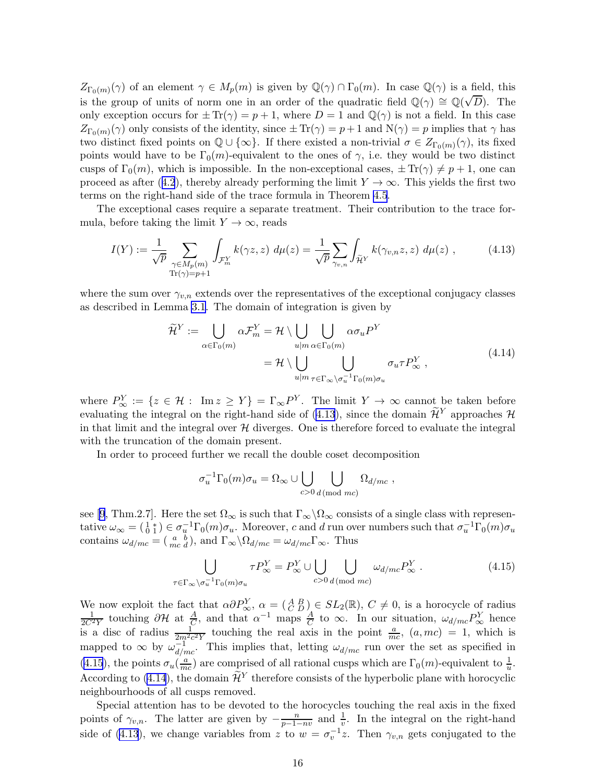$Z_{\Gamma_0(m)}(\gamma)$  of an element  $\gamma \in M_p(m)$  is given by  $\mathbb{Q}(\gamma) \cap \Gamma_0(m)$ . In case  $\mathbb{Q}(\gamma)$  is a field, this is the group of units of norm one in an order of the quadratic field  $\mathbb{Q}(\gamma) \cong \mathbb{Q}(\sqrt{D})$ . The only exception occurs for  $\pm Tr(\gamma) = p + 1$ , where  $D = 1$  and  $\mathbb{Q}(\gamma)$  is not a field. In this case  $Z_{\Gamma_0(m)}(\gamma)$  only consists of the identity, since  $\pm \text{Tr}(\gamma) = p + 1$  and  $N(\gamma) = p$  implies that  $\gamma$  has two distinct fixed points on  $\mathbb{Q} \cup \{\infty\}$ . If there existed a non-trivial  $\sigma \in Z_{\Gamma_0(m)}(\gamma)$ , its fixed points would have to be  $\Gamma_0(m)$ -equivalent to the ones of  $\gamma$ , i.e. they would be two distinct cusps of  $\Gamma_0(m)$ , which is impossible. In the non-exceptional cases,  $\pm \text{Tr}(\gamma) \neq p + 1$ , one can proceedas after ([4.2](#page-11-0)), thereby already performing the limit  $Y \to \infty$ . This yields the first two terms on the right-hand side of the trace formula in Theorem [4.5](#page-13-0).

The exceptional cases require a separate treatment. Their contribution to the trace formula, before taking the limit  $Y \to \infty$ , reads

$$
I(Y) := \frac{1}{\sqrt{p}} \sum_{\substack{\gamma \in M_p(m) \\ \text{Tr}(\gamma) = p+1}} \int_{\mathcal{F}_m^Y} k(\gamma z, z) \ d\mu(z) = \frac{1}{\sqrt{p}} \sum_{\gamma_{v,n}} \int_{\widetilde{\mathcal{H}}^Y} k(\gamma_{v,n} z, z) \ d\mu(z) , \tag{4.13}
$$

where the sum over  $\gamma_{v,n}$  extends over the representatives of the exceptional conjugacy classes as described in Lemma [3.1](#page-5-0). The domain of integration is given by

$$
\widetilde{\mathcal{H}}^Y := \bigcup_{\alpha \in \Gamma_0(m)} \alpha \mathcal{F}_m^Y = \mathcal{H} \setminus \bigcup_{u|m} \bigcup_{\alpha \in \Gamma_0(m)} \alpha \sigma_u P^Y
$$
\n
$$
= \mathcal{H} \setminus \bigcup_{u|m} \bigcup_{\tau \in \Gamma_\infty \setminus \sigma_u^{-1} \Gamma_0(m) \sigma_u} \sigma_u \tau P^Y_\infty ,
$$
\n(4.14)

where  $P^Y_{\infty} := \{z \in \mathcal{H} : \text{ Im } z \geq Y\} = \Gamma_{\infty} P^Y$ . The limit  $Y \to \infty$  cannot be taken before evaluating the integral on the right-hand side of (4.13), since the domain  $\widetilde{\mathcal{H}}^Y$  approaches  $\mathcal{H}$ in that limit and the integral over  $H$  diverges. One is therefore forced to evaluate the integral with the truncation of the domain present.

In order to proceed further we recall the double coset decomposition

$$
\sigma_u^{-1} \Gamma_0(m) \sigma_u = \Omega_\infty \cup \bigcup_{c > 0} \bigcup_{d \, (\text{mod } mc)} \Omega_{d/mc} \;,
$$

see[[9](#page-22-0), Thm.2.7]. Here the set  $\Omega_{\infty}$  is such that  $\Gamma_{\infty}\backslash\Omega_{\infty}$  consists of a single class with representative  $\omega_{\infty} = \begin{pmatrix} 1 & * \\ 0 & 1 \end{pmatrix} \in \sigma_u^{-1} \Gamma_0(m) \sigma_u$ . Moreover, c and d run over numbers such that  $\sigma_u^{-1} \Gamma_0(m) \sigma_u$ contains  $\omega_{d/mc} = \begin{pmatrix} a & b \\ mc & d \end{pmatrix}$ , and  $\Gamma_{\infty} \backslash \Omega_{d/mc} = \omega_{d/mc} \Gamma_{\infty}$ . Thus

$$
\bigcup_{\tau \in \Gamma_{\infty} \backslash \sigma_u^{-1} \Gamma_0(m)\sigma_u} \tau P_{\infty}^Y = P_{\infty}^Y \cup \bigcup_{c > 0} \bigcup_{d \, (\text{mod } mc} \omega_{d/mc} P_{\infty}^Y \,. \tag{4.15}
$$

We now exploit the fact that  $\alpha \partial P_{\infty}^Y$ ,  $\alpha = \begin{pmatrix} A & B \\ C & D \end{pmatrix} \in SL_2(\mathbb{R})$ ,  $C \neq 0$ , is a horocycle of radius  $\frac{1}{2C^2Y}$  touching  $\partial \mathcal{H}$  at  $\frac{A}{C}$ , and that  $\alpha^{-1}$  maps  $\frac{A}{C}$  to  $\infty$ . In our situati is a disc of radius  $\frac{1}{2m^2c^2Y}$  touching the real axis in the point  $\frac{a}{mc}$ ,  $(a, mc) = 1$ , which is mapped to  $\infty$  by  $\omega_{d/mc}^{-1}$ . This implies that, letting  $\omega_{d/mc}$  run over the set as specified in (4.15), the points  $\sigma_u(\frac{a}{m})$  $\frac{a}{mc}$ ) are comprised of all rational cusps which are  $\Gamma_0(m)$ -equivalent to  $\frac{1}{u}$ . According to (4.14), the domain  $\mathcal{H}^Y$  therefore consists of the hyperbolic plane with horocyclic neighbourhoods of all cusps removed.

Special attention has to be devoted to the horocycles touching the real axis in the fixed points of  $\gamma_{v,n}$ . The latter are given by  $-\frac{n}{p-1}$ .  $\frac{n}{p-1-nv}$  and  $\frac{1}{v}$ . In the integral on the right-hand side of (4.13), we change variables from z to  $w = \sigma_v^{-1}z$ . Then  $\gamma_{v,n}$  gets conjugated to the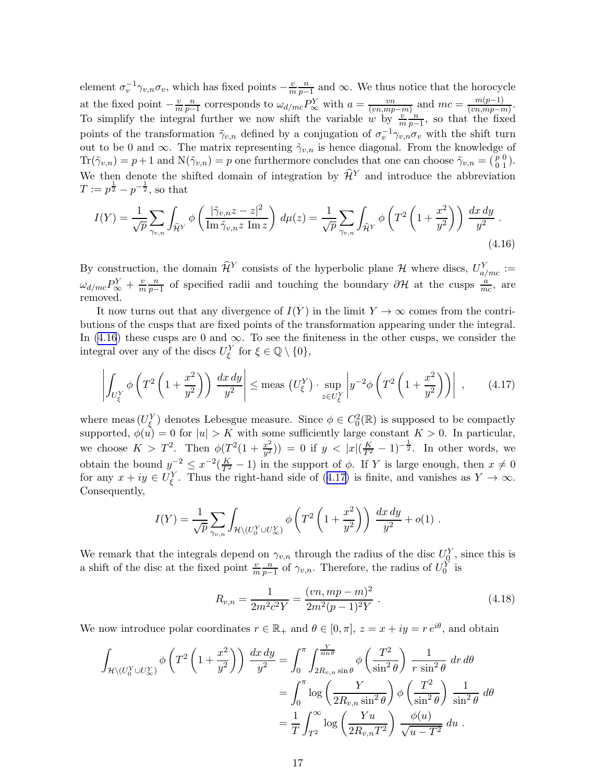<span id="page-17-0"></span>element  $\sigma_v^{-1} \gamma_{v,n} \sigma_v$ , which has fixed points  $-\frac{v}{m}$ m n  $\frac{n}{p-1}$  and ∞. We thus notice that the horocycle at the fixed point  $-\frac{v}{m}$ n  $\frac{n}{p-1}$  corresponds to  $\omega_{d/mc} P_{\infty}^Y$  with  $a = \frac{vn}{(vn,mp-m)}$  and  $mc = \frac{m(p-1)}{(vn,mp-m)}$  $\frac{m(p-1)}{(vn,mp-m)}$ . To simplify the integral further we now shift the variable w by  $\frac{v}{m}$ n  $\frac{n}{p-1}$ , so that the fixed points of the transformation  $\tilde{\gamma}_{v,n}$  defined by a conjugation of  $\sigma_v^{-1}\gamma_{v,n}\sigma_v$  with the shift turn out to be 0 and  $\infty$ . The matrix representing  $\tilde{\gamma}_{v,n}$  is hence diagonal. From the knowledge of  $\text{Tr}(\tilde{\gamma}_{v,n}) = p+1$  and  $\text{N}(\tilde{\gamma}_{v,n}) = p$  one furthermore concludes that one can choose  $\tilde{\gamma}_{v,n} = \begin{pmatrix} p & 0 \\ 0 & 1 \end{pmatrix}$ . We then denote the shifted domain of integration by  $\hat{\mathcal{H}}^Y$  and introduce the abbreviation  $T := p^{\frac{1}{2}} - p^{-\frac{1}{2}},$  so that

$$
I(Y) = \frac{1}{\sqrt{p}} \sum_{\gamma_{v,n}} \int_{\widehat{\mathcal{H}}^Y} \phi\left(\frac{|\widetilde{\gamma}_{v,n}z - z|^2}{\text{Im}\,\widetilde{\gamma}_{v,n}z\text{ Im}z}\right) d\mu(z) = \frac{1}{\sqrt{p}} \sum_{\gamma_{v,n}} \int_{\widehat{\mathcal{H}}^Y} \phi\left(T^2 \left(1 + \frac{x^2}{y^2}\right)\right) \frac{dx\,dy}{y^2} .
$$
\n(4.16)

By construction, the domain  $\widehat{\mathcal{H}}^Y$  consists of the hyperbolic plane H where discs,  $U_{a/mc}^Y :=$  $\omega_{d/mc}P^Y_\infty + \frac{v}{m}$ m n  $\frac{n}{p-1}$  of specified radii and touching the boundary  $\partial \mathcal{H}$  at the cusps  $\frac{a}{mc}$ , are removed.

It now turns out that any divergence of  $I(Y)$  in the limit  $Y \to \infty$  comes from the contributions of the cusps that are fixed points of the transformation appearing under the integral. In (4.16) these cusps are 0 and  $\infty$ . To see the finiteness in the other cusps, we consider the integral over any of the discs  $U_{\xi}^{Y}$  for  $\xi \in \mathbb{Q} \setminus \{0\},$ 

$$
\left| \int_{U_{\xi}^{Y}} \phi \left( T^{2} \left( 1 + \frac{x^{2}}{y^{2}} \right) \right) \frac{dx \, dy}{y^{2}} \right| \le \text{meas} \left( U_{\xi}^{Y} \right) \cdot \sup_{z \in U_{\xi}^{Y}} \left| y^{-2} \phi \left( T^{2} \left( 1 + \frac{x^{2}}{y^{2}} \right) \right) \right| , \tag{4.17}
$$

where meas  $(U_{\xi}^{Y})$  denotes Lebesgue measure. Since  $\phi \in C_0^2(\mathbb{R})$  is supposed to be compactly supported,  $\phi(u) = 0$  for  $|u| > K$  with some sufficiently large constant  $K > 0$ . In particular, we choose  $K > T^2$ . Then  $\phi(T^2(1+\frac{x^2}{n^2}))$  $\left(\frac{x^2}{y^2}\right)$  = 0 if  $y < |x| \left(\frac{K}{T^2} - 1\right)^{-\frac{1}{2}}$ . In other words, we obtain the bound  $y^{-2} \leq x^{-2}(\frac{K}{T^2}-1)$  in the support of  $\phi$ . If Y is large enough, then  $x \neq 0$ for any  $x + iy \in U_{\xi}^Y$ . Thus the right-hand side of (4.17) is finite, and vanishes as  $Y \to \infty$ . Consequently,

$$
I(Y) = \frac{1}{\sqrt{p}} \sum_{\gamma_{v,n}} \int_{\mathcal{H} \setminus (U_0^Y \cup U_\infty^Y)} \phi\left(T^2 \left(1 + \frac{x^2}{y^2}\right)\right) \frac{dx \, dy}{y^2} + o(1) \; .
$$

We remark that the integrals depend on  $\gamma_{v,n}$  through the radius of the disc  $U_0^Y$ , since this is a shift of the disc at the fixed point  $\frac{v}{m}$ n  $\frac{n}{p-1}$  of  $\gamma_{v,n}$ . Therefore, the radius of  $U_0^Y$  is

$$
R_{v,n} = \frac{1}{2m^2c^2Y} = \frac{(vn, mp - m)^2}{2m^2(p - 1)^2Y} \,. \tag{4.18}
$$

We now introduce polar coordinates  $r \in \mathbb{R}_+$  and  $\theta \in [0, \pi]$ ,  $z = x + iy = re^{i\theta}$ , and obtain

$$
\int_{\mathcal{H}\backslash (U_0^Y\cup U_\infty^Y)} \phi\left(T^2\left(1+\frac{x^2}{y^2}\right)\right) \frac{dx\,dy}{y^2} = \int_0^\pi \int_{2R_{v,n}\sin\theta}^{\frac{Y}{\sin\theta}} \phi\left(\frac{T^2}{\sin^2\theta}\right) \frac{1}{r\sin^2\theta}\,dr\,d\theta
$$

$$
= \int_0^\pi \log\left(\frac{Y}{2R_{v,n}\sin^2\theta}\right) \phi\left(\frac{T^2}{\sin^2\theta}\right) \frac{1}{\sin^2\theta}\,d\theta
$$

$$
= \frac{1}{T} \int_{T^2}^\infty \log\left(\frac{Yu}{2R_{v,n}T^2}\right) \frac{\phi(u)}{\sqrt{u-T^2}}\,du\;.
$$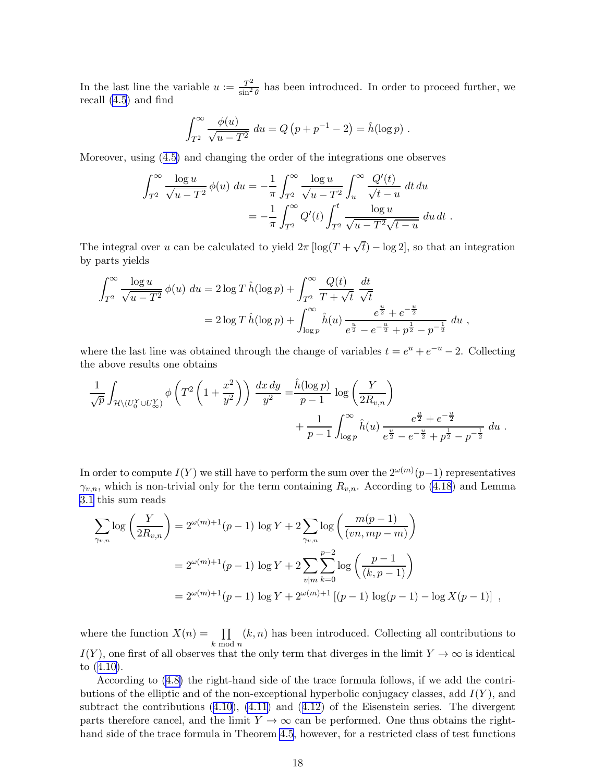In the last line the variable  $u := \frac{T^2}{\sin^2 T}$  $\frac{T^2}{\sin^2 \theta}$  has been introduced. In order to proceed further, we recall [\(4.5](#page-14-0)) and find

$$
\int_{T^2}^{\infty} \frac{\phi(u)}{\sqrt{u - T^2}} \, du = Q \left( p + p^{-1} - 2 \right) = \hat{h}(\log p) \; .
$$

Moreover, using([4.5\)](#page-14-0) and changing the order of the integrations one observes

$$
\int_{T^2}^{\infty} \frac{\log u}{\sqrt{u - T^2}} \phi(u) \, du = -\frac{1}{\pi} \int_{T^2}^{\infty} \frac{\log u}{\sqrt{u - T^2}} \int_u^{\infty} \frac{Q'(t)}{\sqrt{t - u}} \, dt \, du
$$

$$
= -\frac{1}{\pi} \int_{T^2}^{\infty} Q'(t) \int_{T^2}^t \frac{\log u}{\sqrt{u - T^2} \sqrt{t - u}} \, du \, dt \, .
$$

The integral over u can be calculated to yield  $2\pi \left[ \log(T + \sqrt{t}) - \log 2 \right]$ , so that an integration by parts yields

$$
\int_{T^2}^{\infty} \frac{\log u}{\sqrt{u - T^2}} \phi(u) du = 2 \log T \hat{h}(\log p) + \int_{T^2}^{\infty} \frac{Q(t)}{T + \sqrt{t}} \frac{dt}{\sqrt{t}}
$$
  
=  $2 \log T \hat{h}(\log p) + \int_{\log p}^{\infty} \hat{h}(u) \frac{e^{\frac{u}{2}} + e^{-\frac{u}{2}}}{e^{\frac{u}{2}} - e^{-\frac{u}{2}} + p^{\frac{1}{2}} - p^{-\frac{1}{2}}} du,$ 

where the last line was obtained through the change of variables  $t = e^u + e^{-u} - 2$ . Collecting the above results one obtains

$$
\frac{1}{\sqrt{p}} \int_{\mathcal{H} \setminus (U_0^Y \cup U_\infty^Y)} \phi \left( T^2 \left( 1 + \frac{x^2}{y^2} \right) \right) \frac{dx \, dy}{y^2} = \frac{\hat{h}(\log p)}{p-1} \log \left( \frac{Y}{2R_{v,n}} \right) + \frac{1}{p-1} \int_{\log p}^{\infty} \hat{h}(u) \frac{e^{\frac{u}{2}} + e^{-\frac{u}{2}}}{e^{\frac{u}{2}} - e^{-\frac{u}{2}} + p^{\frac{1}{2}} - p^{-\frac{1}{2}}} \, du \; .
$$

In order to compute  $I(Y)$  we still have to perform the sum over the  $2^{\omega(m)}(p-1)$  representatives  $\gamma_{v,n}$ , which is non-trivial only for the term containing  $R_{v,n}$ . According to [\(4.18](#page-17-0)) and Lemma [3.1](#page-5-0) this sum reads

$$
\sum_{\gamma_{v,n}} \log \left( \frac{Y}{2R_{v,n}} \right) = 2^{\omega(m)+1}(p-1) \log Y + 2 \sum_{\gamma_{v,n}} \log \left( \frac{m(p-1)}{(vn,mp-m)} \right)
$$
  
=  $2^{\omega(m)+1}(p-1) \log Y + 2 \sum_{v|m} \sum_{k=0}^{p-2} \log \left( \frac{p-1}{(k,p-1)} \right)$   
=  $2^{\omega(m)+1}(p-1) \log Y + 2^{\omega(m)+1} [(p-1) \log(p-1) - \log X(p-1)]$ ,

where the function  $X(n) = \prod$ k mod n  $(k, n)$  has been introduced. Collecting all contributions to  $I(Y)$ , one first of all observes that the only term that diverges in the limit  $Y \to \infty$  is identical to([4.10\)](#page-15-0).

According to([4.8\)](#page-14-0) the right-hand side of the trace formula follows, if we add the contributions of the elliptic and of the non-exceptional hyperbolic conjugacy classes, add  $I(Y)$ , and subtract the contributions([4.10](#page-15-0)), [\(4.11\)](#page-15-0) and([4.12\)](#page-15-0) of the Eisenstein series. The divergent parts therefore cancel, and the limit  $Y \to \infty$  can be performed. One thus obtains the righthand side of the trace formula in Theorem [4.5](#page-13-0), however, for a restricted class of test functions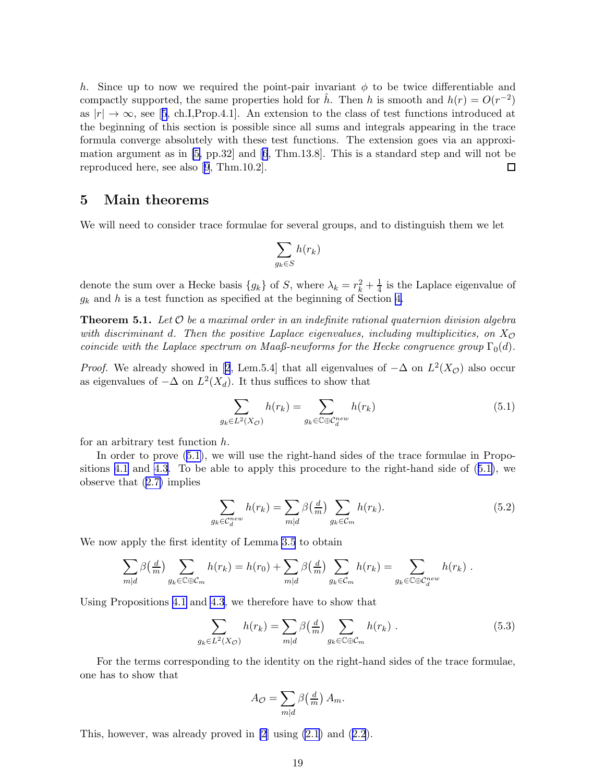<span id="page-19-0"></span>h. Since up to now we required the point-pair invariant  $\phi$  to be twice differentiable and compactly supported, the same properties hold for  $\hat{h}$ . Then h is smooth and  $h(r) = O(r^{-2})$ as $|r| \to \infty$ , see [[5](#page-21-0), ch.I,Prop.4.1]. An extension to the class of test functions introduced at the beginning of this section is possible since all sums and integrals appearing in the trace formula converge absolutely with these test functions. The extension goes via an approximation argument as in [\[5,](#page-21-0) pp.32] and[[6](#page-21-0), Thm.13.8]. This is a standard step and will not be reproduced here, see also[[9](#page-22-0), Thm.10.2].  $\Box$ 

# 5 Main theorems

We will need to consider trace formulae for several groups, and to distinguish them we let

$$
\sum_{g_k \in S} h(r_k)
$$

denote the sum over a Hecke basis  $\{g_k\}$  of S, where  $\lambda_k = r_k^2 + \frac{1}{4}$  $\frac{1}{4}$  is the Laplace eigenvalue of  $g_k$  and h is a test function as specified at the beginning of Section [4.](#page-9-0)

**Theorem 5.1.** Let  $\mathcal O$  be a maximal order in an indefinite rational quaternion division algebra with discriminant d. Then the positive Laplace eigenvalues, including multiplicities, on  $X_{\mathcal{O}}$ coincide with the Laplace spectrum on Maaß-newforms for the Hecke congruence group  $\Gamma_0(d)$ .

*Proof.*We already showed in [[2](#page-21-0), Lem.5.4] that all eigenvalues of  $-\Delta$  on  $L^2(X_{\mathcal{O}})$  also occur as eigenvalues of  $-\Delta$  on  $L^2(X_d)$ . It thus suffices to show that

$$
\sum_{g_k \in L^2(X_{\mathcal{O}})} h(r_k) = \sum_{g_k \in \mathbb{C} \oplus \mathcal{C}_d^{new}} h(r_k) \tag{5.1}
$$

for an arbitrary test function  $h$ .

In order to prove (5.1), we will use the right-hand sides of the trace formulae in Propositions [4.1](#page-9-0) and [4.3](#page-11-0). To be able to apply this procedure to the right-hand side of (5.1), we observe that([2.7\)](#page-4-0) implies

$$
\sum_{g_k \in C_d^{new}} h(r_k) = \sum_{m|d} \beta\left(\frac{d}{m}\right) \sum_{g_k \in C_m} h(r_k). \tag{5.2}
$$

We now apply the first identity of Lemma [3.5](#page-8-0) to obtain

$$
\sum_{m|d} \beta\left(\frac{d}{m}\right) \sum_{g_k \in \mathbb{C} \oplus \mathcal{C}_m} h(r_k) = h(r_0) + \sum_{m|d} \beta\left(\frac{d}{m}\right) \sum_{g_k \in \mathcal{C}_m} h(r_k) = \sum_{g_k \in \mathbb{C} \oplus \mathcal{C}_d^{new}} h(r_k) .
$$

Using Propositions [4.1](#page-9-0) and [4.3](#page-11-0), we therefore have to show that

$$
\sum_{g_k \in L^2(X_{\mathcal{O}})} h(r_k) = \sum_{m|d} \beta\left(\frac{d}{m}\right) \sum_{g_k \in \mathbb{C} \oplus \mathcal{C}_m} h(r_k) \tag{5.3}
$$

For the terms corresponding to the identity on the right-hand sides of the trace formulae, one has to show that

$$
A_{\mathcal{O}} = \sum_{m|d} \beta\left(\frac{d}{m}\right) A_m.
$$

This,however, was already proved in  $[2]$  using  $(2.1)$  and  $(2.2)$  $(2.2)$  $(2.2)$ .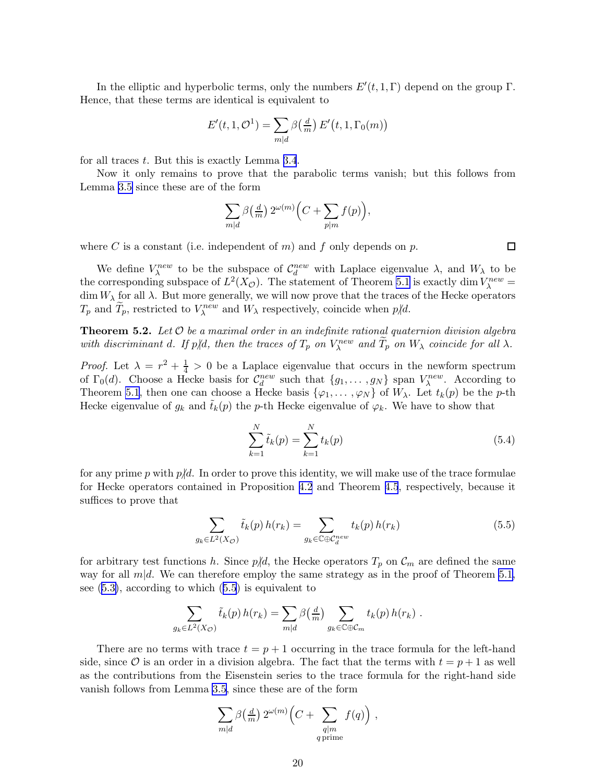<span id="page-20-0"></span>In the elliptic and hyperbolic terms, only the numbers  $E'(t, 1, \Gamma)$  depend on the group  $\Gamma$ . Hence, that these terms are identical is equivalent to

$$
E'(t, 1, \mathcal{O}^1) = \sum_{m|d} \beta\left(\frac{d}{m}\right) E'\left(t, 1, \Gamma_0(m)\right)
$$

for all traces t. But this is exactly Lemma [3.4](#page-8-0).

Now it only remains to prove that the parabolic terms vanish; but this follows from Lemma [3.5](#page-8-0) since these are of the form

$$
\sum_{m|d} \beta\big(\tfrac{d}{m}\big) \, 2^{\omega(m)} \Big( C + \sum_{p|m} f(p) \Big),
$$

where C is a constant (i.e. independent of m) and f only depends on p.

We define  $V_{\lambda}^{new}$  to be the subspace of  $C_d^{new}$  with Laplace eigenvalue  $\lambda$ , and  $W_{\lambda}$  to be the corresponding subspace of  $L^2(X_{\mathcal{O}})$ . The statement of Theorem [5.1](#page-19-0) is exactly dim  $V_{\lambda}^{new}$  = dim  $W_{\lambda}$  for all  $\lambda$ . But more generally, we will now prove that the traces of the Hecke operators  $T_p$  and  $\tilde{T}_p$ , restricted to  $V_\lambda^{new}$  and  $W_\lambda$  respectively, coincide when  $p\not|d$ .

**Theorem 5.2.** Let  $O$  be a maximal order in an indefinite rational quaternion division algebra with discriminant d. If  $p/d$ , then the traces of  $T_p$  on  $V_\lambda^{new}$  and  $T_p$  on  $W_\lambda$  coincide for all  $\lambda$ .

*Proof.* Let  $\lambda = r^2 + \frac{1}{4} > 0$  be a Laplace eigenvalue that occurs in the newform spectrum of  $\Gamma_0(d)$ . Choose a Hecke basis for  $C_d^{new}$  such that  $\{g_1, \ldots, g_N\}$  span  $V_\lambda^{new}$ . According to Theorem [5.1](#page-19-0), then one can choose a Hecke basis  $\{\varphi_1, \ldots, \varphi_N\}$  of  $W_\lambda$ . Let  $t_k(p)$  be the p-th Hecke eigenvalue of  $g_k$  and  $\tilde{t}_k(p)$  the p-th Hecke eigenvalue of  $\varphi_k$ . We have to show that

$$
\sum_{k=1}^{N} \tilde{t}_k(p) = \sum_{k=1}^{N} t_k(p)
$$
\n(5.4)

for any prime p with  $p/d$ . In order to prove this identity, we will make use of the trace formulae for Hecke operators contained in Proposition [4.2](#page-9-0) and Theorem [4.5](#page-13-0), respectively, because it suffices to prove that

$$
\sum_{g_k \in L^2(X_{\mathcal{O}})} \tilde{t}_k(p) h(r_k) = \sum_{g_k \in \mathbb{C} \oplus \mathcal{C}_d^{new}} t_k(p) h(r_k)
$$
\n(5.5)

for arbitrary test functions h. Since  $p/d$ , the Hecke operators  $T_p$  on  $\mathcal{C}_m$  are defined the same way for all  $m|d$ . We can therefore employ the same strategy as in the proof of Theorem [5.1,](#page-19-0) see([5.3\)](#page-19-0), according to which (5.5) is equivalent to

$$
\sum_{g_k \in L^2(X_{\mathcal{O}})} \tilde{t}_k(p) h(r_k) = \sum_{m|d} \beta\left(\frac{d}{m}\right) \sum_{g_k \in \mathbb{C} \oplus \mathcal{C}_m} t_k(p) h(r_k) .
$$

There are no terms with trace  $t = p + 1$  occurring in the trace formula for the left-hand side, since  $\mathcal O$  is an order in a division algebra. The fact that the terms with  $t = p + 1$  as well as the contributions from the Eisenstein series to the trace formula for the right-hand side vanish follows from Lemma [3.5](#page-8-0), since these are of the form

$$
\sum_{m|d} \beta\left(\frac{d}{m}\right) 2^{\omega(m)} \left(C + \sum_{\substack{q|m\\q \text{ prime}}} f(q)\right) ,
$$

 $\Box$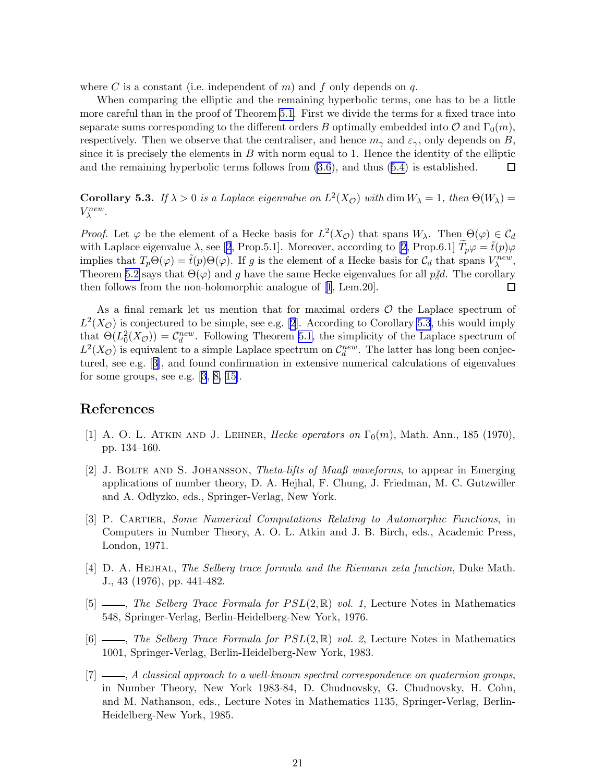<span id="page-21-0"></span>where C is a constant (i.e. independent of m) and f only depends on q.

When comparing the elliptic and the remaining hyperbolic terms, one has to be a little more careful than in the proof of Theorem [5.1.](#page-19-0) First we divide the terms for a fixed trace into separate sums corresponding to the different orders B optimally embedded into  $\mathcal{O}$  and  $\Gamma_0(m)$ , respectively. Then we observe that the centraliser, and hence  $m_{\gamma}$  and  $\varepsilon_{\gamma}$ , only depends on B, since it is precisely the elements in  $B$  with norm equal to 1. Hence the identity of the elliptic and the remaining hyperbolic terms follows from [\(3.6](#page-7-0)), and thus([5.4\)](#page-20-0) is established. □

**Corollary 5.3.** If  $\lambda > 0$  is a Laplace eigenvalue on  $L^2(X_{\mathcal{O}})$  with dim  $W_{\lambda} = 1$ , then  $\Theta(W_{\lambda}) =$  $V_{\lambda}^{new}$ .

*Proof.* Let  $\varphi$  be the element of a Hecke basis for  $L^2(X_{\mathcal{O}})$  that spans  $W_{\lambda}$ . Then  $\Theta(\varphi) \in C_d$ with Laplace eigenvalue  $\lambda$ , see [2, Prop.5.1]. Moreover, according to [2, Prop.6.1]  $T_p\varphi = \tilde{t}(p)\varphi$ implies that  $T_p\Theta(\varphi) = \tilde{t}(p)\Theta(\varphi)$ . If g is the element of a Hecke basis for  $\mathcal{C}_d$  that spans  $V_\lambda^{new}$ , Theorem [5.2](#page-20-0) says that  $\Theta(\varphi)$  and g have the same Hecke eigenvalues for all  $p/d$ . The corollary then follows from the non-holomorphic analogue of [1, Lem.20]. then follows from the non-holomorphic analogue of [1, Lem.20].

As a final remark let us mention that for maximal orders  $\mathcal O$  the Laplace spectrum of  $L^2(X_{\mathcal{O}})$  is conjectured to be simple, see e.g. [2]. According to Corollary 5.3, this would imply that  $\Theta(L_0^2(X_{\mathcal{O}})) = C_d^{new}$ . Following Theorem [5.1,](#page-19-0) the simplicity of the Laplace spectrum of  $L^2(X_{\mathcal{O}})$  is equivalent to a simple Laplace spectrum on  $\mathcal{C}_d^{new}$ . The latter has long been conjectured, see e.g. [3], and found confirmation in extensive numerical calculations of eigenvalues for some groups, see e.g.  $[3, 8, 15]$  $[3, 8, 15]$  $[3, 8, 15]$ .

# References

- [1] A. O. L. ATKIN AND J. LEHNER, Hecke operators on  $\Gamma_0(m)$ , Math. Ann., 185 (1970), pp. 134–160.
- [2] J. Bolte and S. Johansson, Theta-lifts of Maaß waveforms, to appear in Emerging applications of number theory, D. A. Hejhal, F. Chung, J. Friedman, M. C. Gutzwiller and A. Odlyzko, eds., Springer-Verlag, New York.
- [3] P. Cartier, Some Numerical Computations Relating to Automorphic Functions, in Computers in Number Theory, A. O. L. Atkin and J. B. Birch, eds., Academic Press, London, 1971.
- [4] D. A. HEJHAL, The Selberg trace formula and the Riemann zeta function, Duke Math. J., 43 (1976), pp. 441-482.
- [5]  $\_\_\_\_\$ , The Selberg Trace Formula for  $PSL(2,\mathbb{R})$  vol. 1, Lecture Notes in Mathematics 548, Springer-Verlag, Berlin-Heidelberg-New York, 1976.
- [6]  $\_\_\_\_\_\$  The Selberg Trace Formula for  $PSL(2,\mathbb{R})$  vol. 2, Lecture Notes in Mathematics 1001, Springer-Verlag, Berlin-Heidelberg-New York, 1983.
- $[7]$  , A classical approach to a well-known spectral correspondence on quaternion groups, in Number Theory, New York 1983-84, D. Chudnovsky, G. Chudnovsky, H. Cohn, and M. Nathanson, eds., Lecture Notes in Mathematics 1135, Springer-Verlag, Berlin-Heidelberg-New York, 1985.